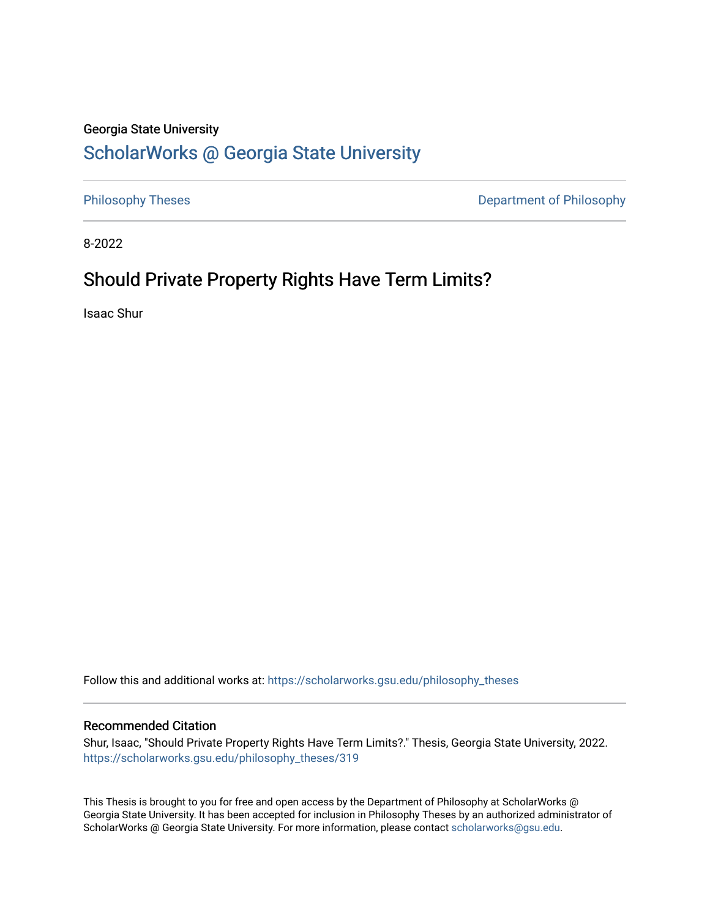# Georgia State University

# [ScholarWorks @ Georgia State University](https://scholarworks.gsu.edu/)

[Philosophy Theses](https://scholarworks.gsu.edu/philosophy_theses) **Department of Philosophy** 

8-2022

# Should Private Property Rights Have Term Limits?

Isaac Shur

Follow this and additional works at: [https://scholarworks.gsu.edu/philosophy\\_theses](https://scholarworks.gsu.edu/philosophy_theses?utm_source=scholarworks.gsu.edu%2Fphilosophy_theses%2F319&utm_medium=PDF&utm_campaign=PDFCoverPages) 

# Recommended Citation

Shur, Isaac, "Should Private Property Rights Have Term Limits?." Thesis, Georgia State University, 2022. [https://scholarworks.gsu.edu/philosophy\\_theses/319](https://scholarworks.gsu.edu/philosophy_theses/319?utm_source=scholarworks.gsu.edu%2Fphilosophy_theses%2F319&utm_medium=PDF&utm_campaign=PDFCoverPages) 

This Thesis is brought to you for free and open access by the Department of Philosophy at ScholarWorks @ Georgia State University. It has been accepted for inclusion in Philosophy Theses by an authorized administrator of ScholarWorks @ Georgia State University. For more information, please contact [scholarworks@gsu.edu](mailto:scholarworks@gsu.edu).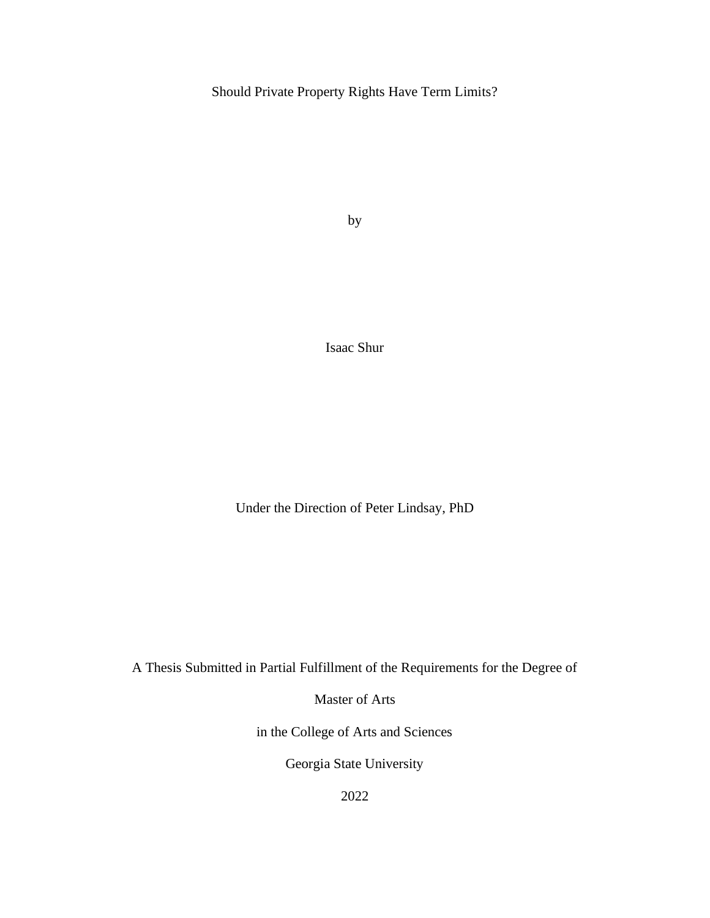Should Private Property Rights Have Term Limits?

by

Isaac Shur

Under the Direction of Peter Lindsay, PhD

A Thesis Submitted in Partial Fulfillment of the Requirements for the Degree of

Master of Arts

in the College of Arts and Sciences

Georgia State University

2022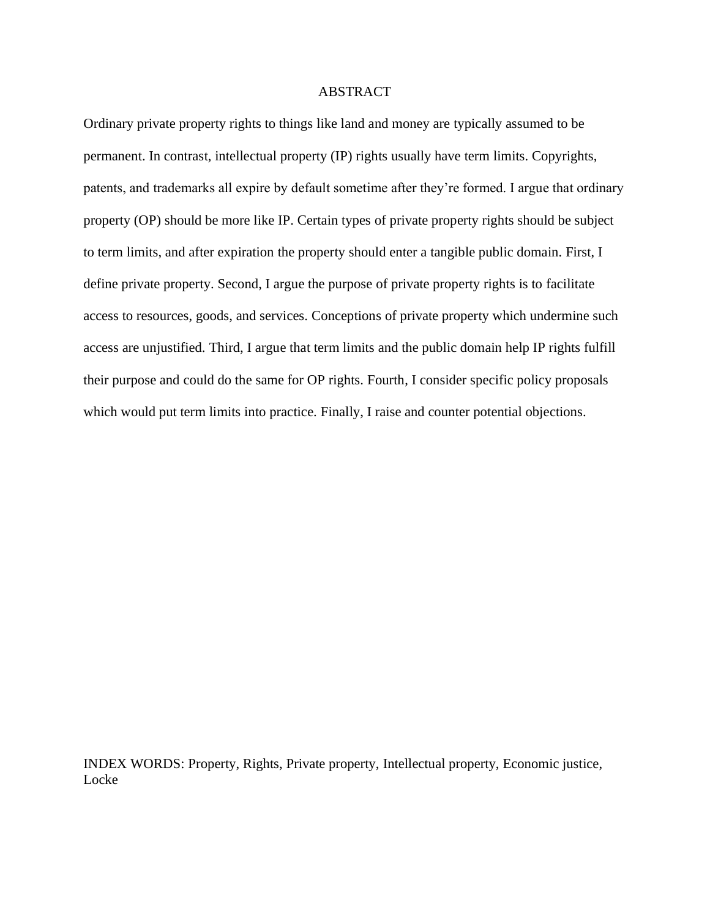# ABSTRACT

Ordinary private property rights to things like land and money are typically assumed to be permanent. In contrast, intellectual property (IP) rights usually have term limits. Copyrights, patents, and trademarks all expire by default sometime after they're formed. I argue that ordinary property (OP) should be more like IP. Certain types of private property rights should be subject to term limits, and after expiration the property should enter a tangible public domain. First, I define private property. Second, I argue the purpose of private property rights is to facilitate access to resources, goods, and services. Conceptions of private property which undermine such access are unjustified. Third, I argue that term limits and the public domain help IP rights fulfill their purpose and could do the same for OP rights. Fourth, I consider specific policy proposals which would put term limits into practice. Finally, I raise and counter potential objections.

INDEX WORDS: Property, Rights, Private property, Intellectual property, Economic justice, **Locke**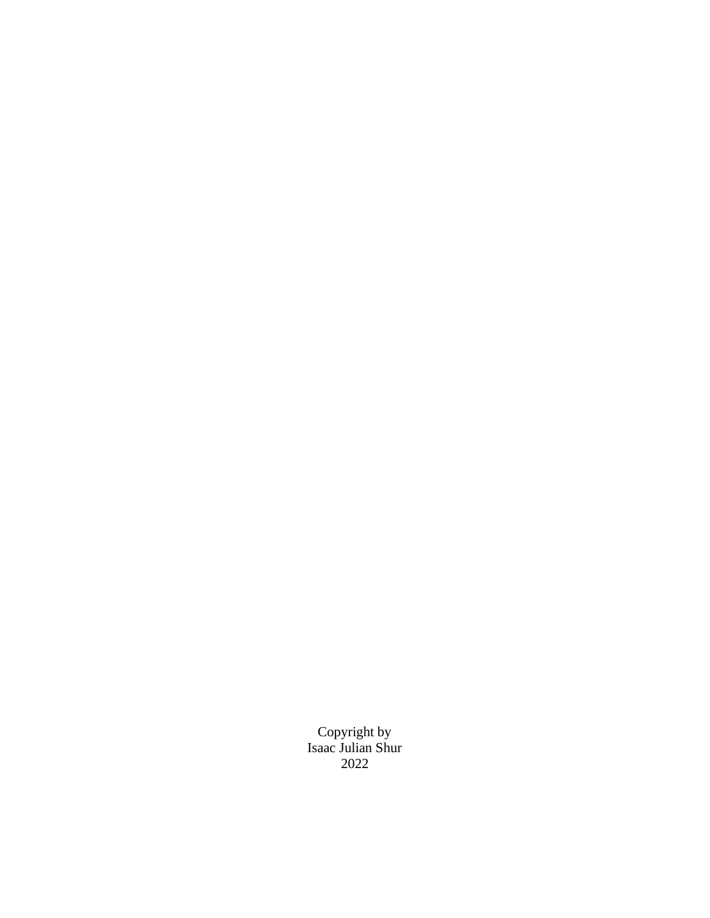Copyright by Isaac Julian Shur 2022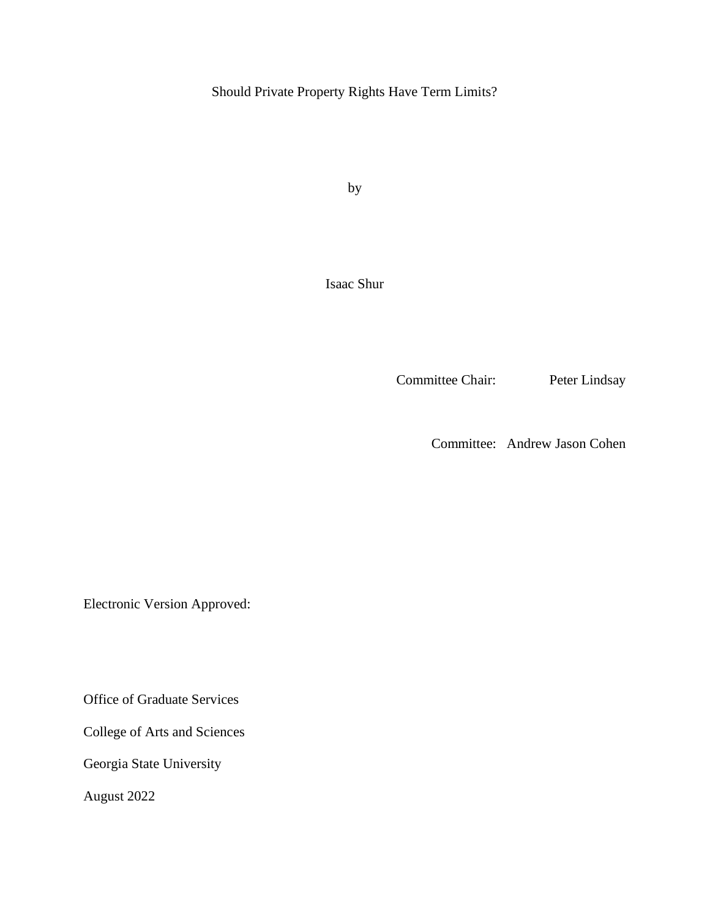Should Private Property Rights Have Term Limits?

by

Isaac Shur

Committee Chair: Peter Lindsay

Committee: Andrew Jason Cohen

Electronic Version Approved:

Office of Graduate Services

College of Arts and Sciences

Georgia State University

August 2022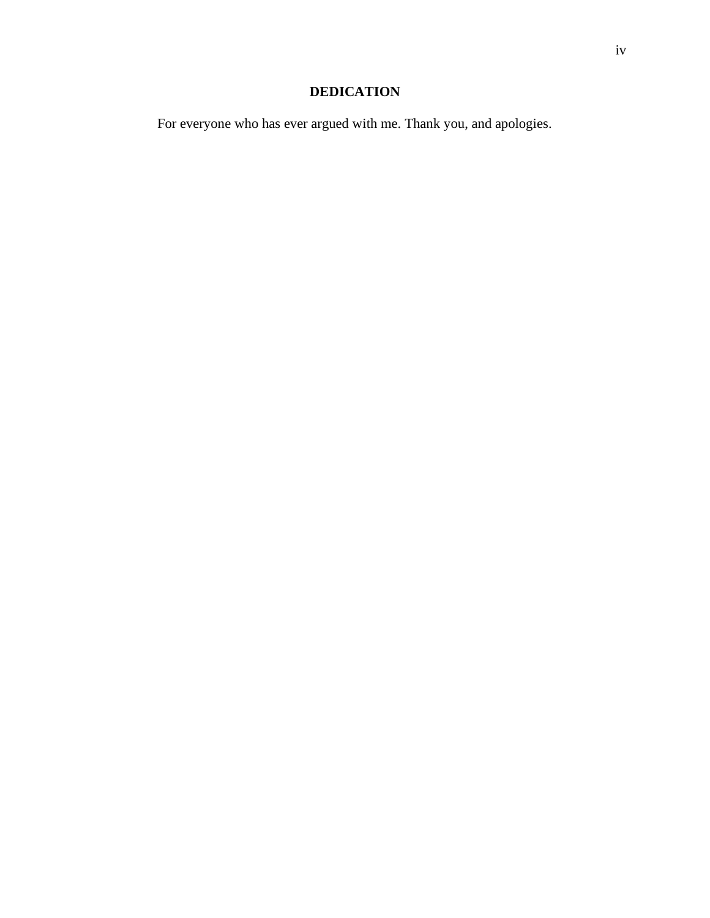# **DEDICATION**

For everyone who has ever argued with me. Thank you, and apologies.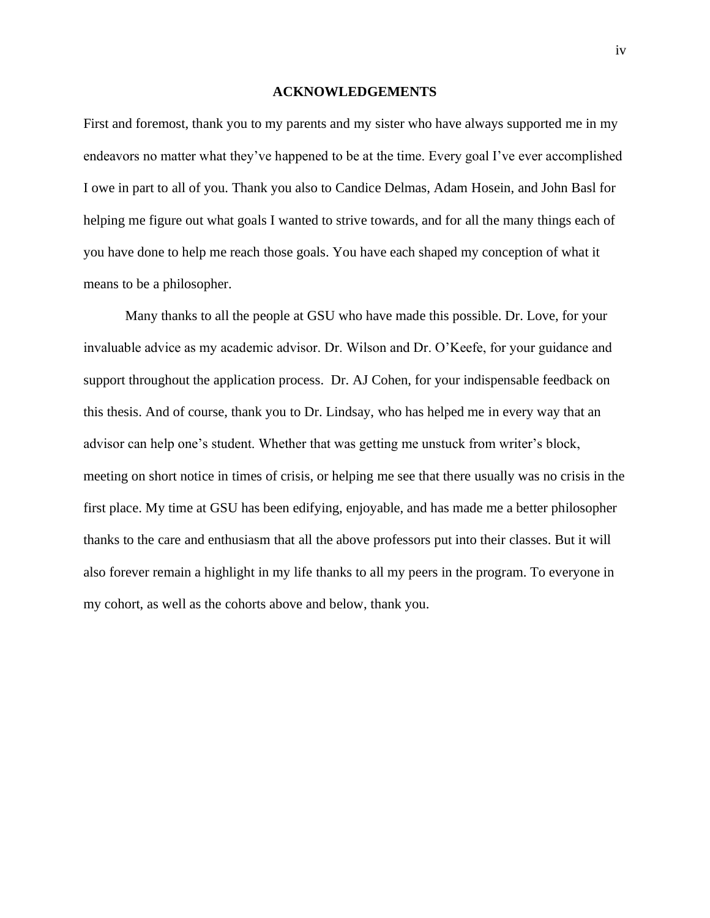#### **ACKNOWLEDGEMENTS**

<span id="page-6-0"></span>First and foremost, thank you to my parents and my sister who have always supported me in my endeavors no matter what they've happened to be at the time. Every goal I've ever accomplished I owe in part to all of you. Thank you also to Candice Delmas, Adam Hosein, and John Basl for helping me figure out what goals I wanted to strive towards, and for all the many things each of you have done to help me reach those goals. You have each shaped my conception of what it means to be a philosopher.

Many thanks to all the people at GSU who have made this possible. Dr. Love, for your invaluable advice as my academic advisor. Dr. Wilson and Dr. O'Keefe, for your guidance and support throughout the application process. Dr. AJ Cohen, for your indispensable feedback on this thesis. And of course, thank you to Dr. Lindsay, who has helped me in every way that an advisor can help one's student. Whether that was getting me unstuck from writer's block, meeting on short notice in times of crisis, or helping me see that there usually was no crisis in the first place. My time at GSU has been edifying, enjoyable, and has made me a better philosopher thanks to the care and enthusiasm that all the above professors put into their classes. But it will also forever remain a highlight in my life thanks to all my peers in the program. To everyone in my cohort, as well as the cohorts above and below, thank you.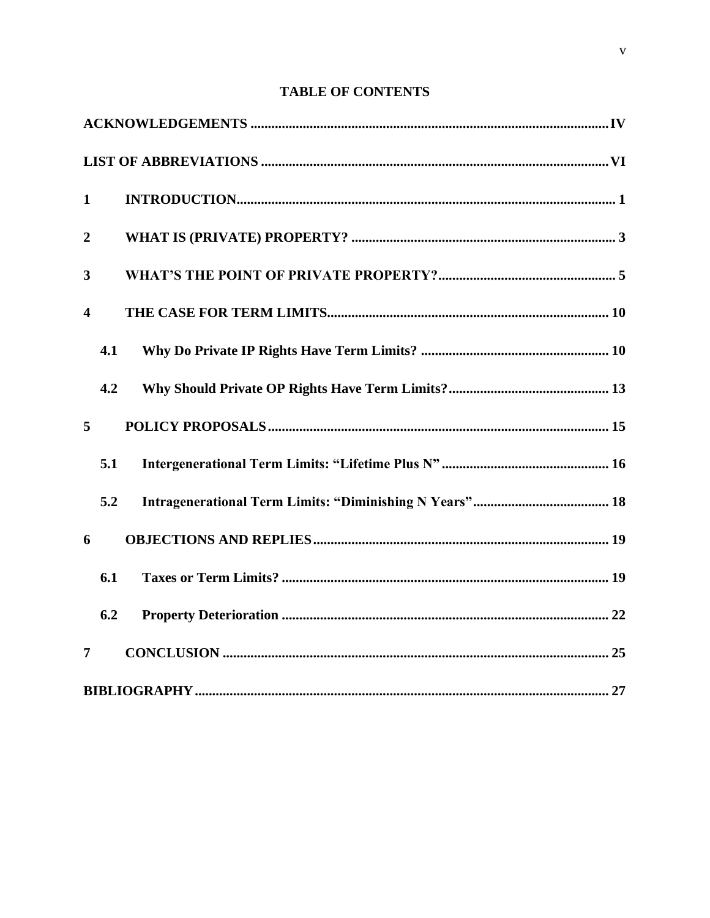# **TABLE OF CONTENTS**

| $\mathbf{1}$            |     |  |
|-------------------------|-----|--|
| $\overline{2}$          |     |  |
| 3                       |     |  |
| $\overline{\mathbf{4}}$ |     |  |
|                         | 4.1 |  |
|                         | 4.2 |  |
| 5                       |     |  |
|                         | 5.1 |  |
|                         | 5.2 |  |
| 6                       |     |  |
|                         | 6.1 |  |
|                         | 6.2 |  |
| $\overline{7}$          |     |  |
|                         |     |  |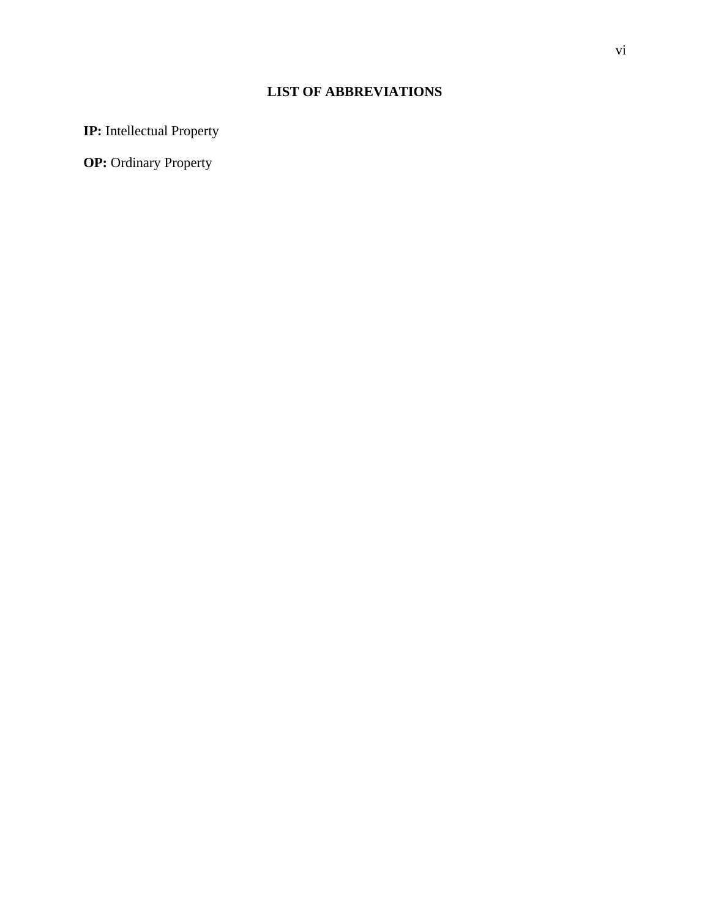# **LIST OF ABBREVIATIONS**

<span id="page-8-0"></span>**IP:** Intellectual Property

**OP:** Ordinary Property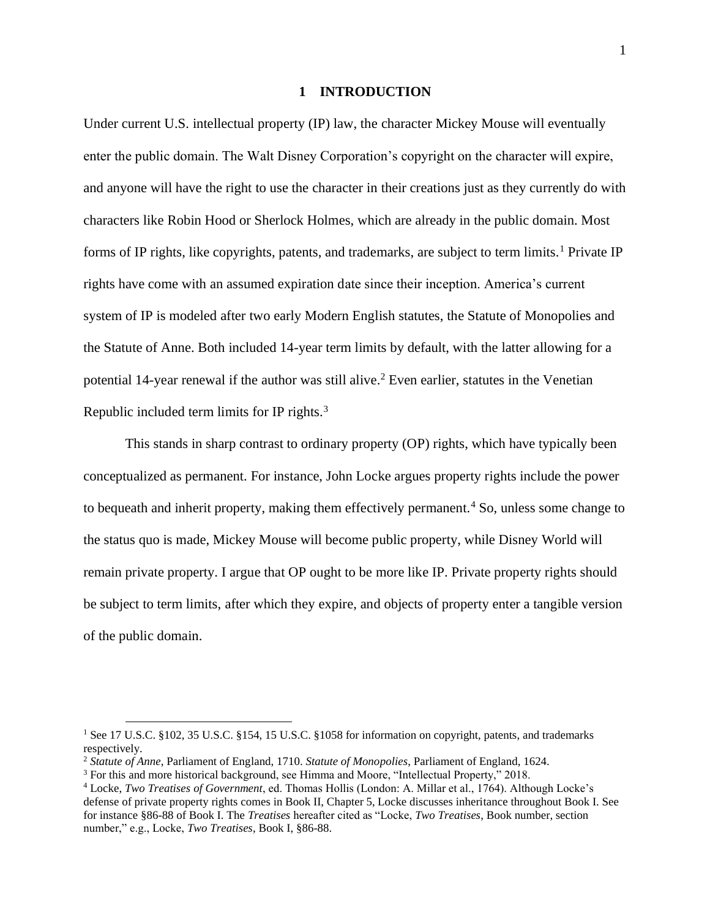### **1 INTRODUCTION**

<span id="page-9-0"></span>Under current U.S. intellectual property (IP) law, the character Mickey Mouse will eventually enter the public domain. The Walt Disney Corporation's copyright on the character will expire, and anyone will have the right to use the character in their creations just as they currently do with characters like Robin Hood or Sherlock Holmes, which are already in the public domain. Most forms of IP rights, like copyrights, patents, and trademarks, are subject to term limits.<sup>1</sup> Private IP rights have come with an assumed expiration date since their inception. America's current system of IP is modeled after two early Modern English statutes, the Statute of Monopolies and the Statute of Anne. Both included 14-year term limits by default, with the latter allowing for a potential 14-year renewal if the author was still alive.<sup>2</sup> Even earlier, statutes in the Venetian Republic included term limits for IP rights.<sup>3</sup>

This stands in sharp contrast to ordinary property (OP) rights, which have typically been conceptualized as permanent. For instance, John Locke argues property rights include the power to bequeath and inherit property, making them effectively permanent.<sup>4</sup> So, unless some change to the status quo is made, Mickey Mouse will become public property, while Disney World will remain private property. I argue that OP ought to be more like IP. Private property rights should be subject to term limits, after which they expire, and objects of property enter a tangible version of the public domain.

<sup>&</sup>lt;sup>1</sup> See 17 U.S.C. §102, 35 U.S.C. §154, 15 U.S.C. §1058 for information on copyright, patents, and trademarks respectively.

<sup>2</sup> *Statute of Anne*, Parliament of England, 1710. *Statute of Monopolies*, Parliament of England, 1624.

<sup>3</sup> For this and more historical background, see Himma and Moore, "Intellectual Property," 2018.

<sup>4</sup> Locke, *Two Treatises of Government*, ed. Thomas Hollis (London: A. Millar et al., 1764). Although Locke's defense of private property rights comes in Book II, Chapter 5, Locke discusses inheritance throughout Book I. See for instance §86-88 of Book I. The *Treatises* hereafter cited as "Locke, *Two Treatises*, Book number, section number," e.g., Locke, *Two Treatises*, Book I, §86-88.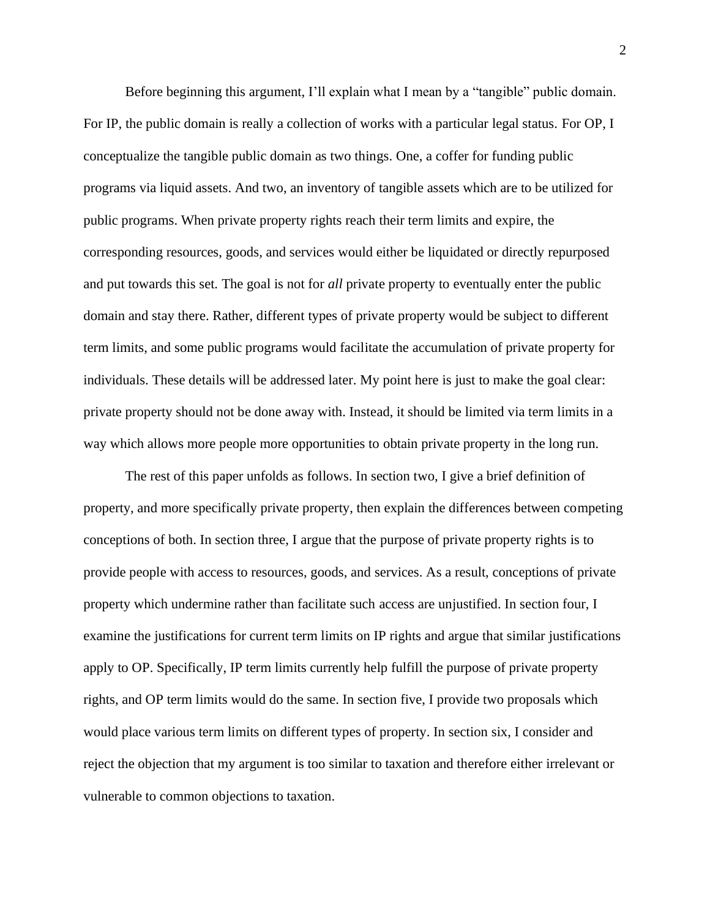Before beginning this argument, I'll explain what I mean by a "tangible" public domain. For IP, the public domain is really a collection of works with a particular legal status. For OP, I conceptualize the tangible public domain as two things. One, a coffer for funding public programs via liquid assets. And two, an inventory of tangible assets which are to be utilized for public programs. When private property rights reach their term limits and expire, the corresponding resources, goods, and services would either be liquidated or directly repurposed and put towards this set. The goal is not for *all* private property to eventually enter the public domain and stay there. Rather, different types of private property would be subject to different term limits, and some public programs would facilitate the accumulation of private property for individuals. These details will be addressed later. My point here is just to make the goal clear: private property should not be done away with. Instead, it should be limited via term limits in a way which allows more people more opportunities to obtain private property in the long run.

The rest of this paper unfolds as follows. In section two, I give a brief definition of property, and more specifically private property, then explain the differences between competing conceptions of both. In section three, I argue that the purpose of private property rights is to provide people with access to resources, goods, and services. As a result, conceptions of private property which undermine rather than facilitate such access are unjustified. In section four, I examine the justifications for current term limits on IP rights and argue that similar justifications apply to OP. Specifically, IP term limits currently help fulfill the purpose of private property rights, and OP term limits would do the same. In section five, I provide two proposals which would place various term limits on different types of property. In section six, I consider and reject the objection that my argument is too similar to taxation and therefore either irrelevant or vulnerable to common objections to taxation.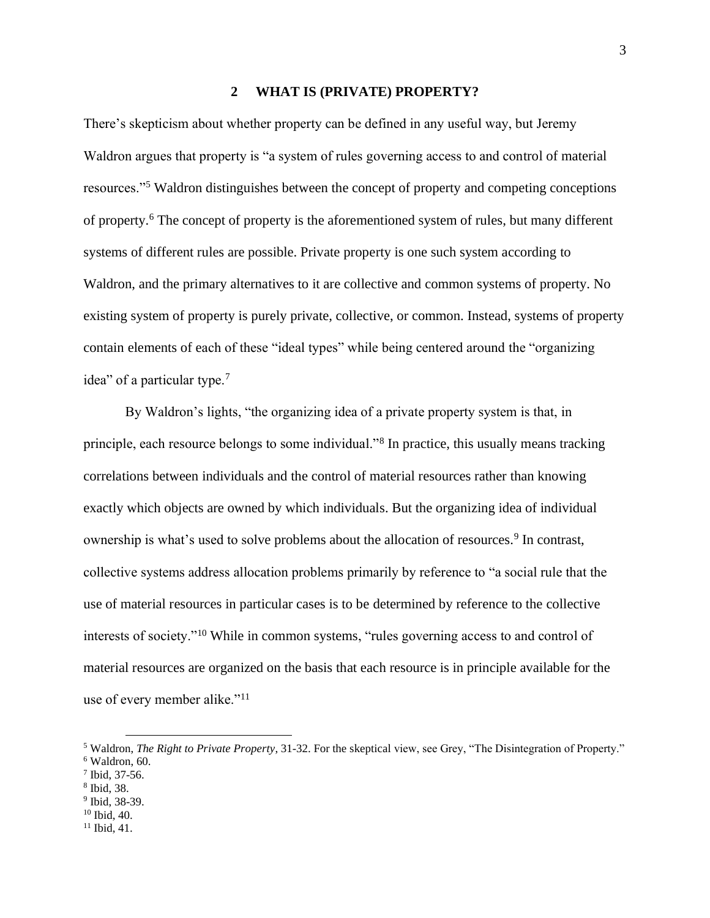### **2 WHAT IS (PRIVATE) PROPERTY?**

<span id="page-11-0"></span>There's skepticism about whether property can be defined in any useful way, but Jeremy Waldron argues that property is "a system of rules governing access to and control of material resources."<sup>5</sup> Waldron distinguishes between the concept of property and competing conceptions of property.<sup>6</sup> The concept of property is the aforementioned system of rules, but many different systems of different rules are possible. Private property is one such system according to Waldron, and the primary alternatives to it are collective and common systems of property. No existing system of property is purely private, collective, or common. Instead, systems of property contain elements of each of these "ideal types" while being centered around the "organizing idea" of a particular type.<sup>7</sup>

By Waldron's lights, "the organizing idea of a private property system is that, in principle, each resource belongs to some individual."<sup>8</sup> In practice, this usually means tracking correlations between individuals and the control of material resources rather than knowing exactly which objects are owned by which individuals. But the organizing idea of individual ownership is what's used to solve problems about the allocation of resources.<sup>9</sup> In contrast, collective systems address allocation problems primarily by reference to "a social rule that the use of material resources in particular cases is to be determined by reference to the collective interests of society."<sup>10</sup> While in common systems, "rules governing access to and control of material resources are organized on the basis that each resource is in principle available for the use of every member alike."<sup>11</sup>

- 9 Ibid, 38-39.
- <sup>10</sup> Ibid, 40.
- $11$  Ibid, 41.

<sup>5</sup> Waldron, *The Right to Private Property*, 31-32. For the skeptical view, see Grey, "The Disintegration of Property." <sup>6</sup> Waldron, 60.

<sup>7</sup> Ibid, 37-56.

<sup>8</sup> Ibid, 38.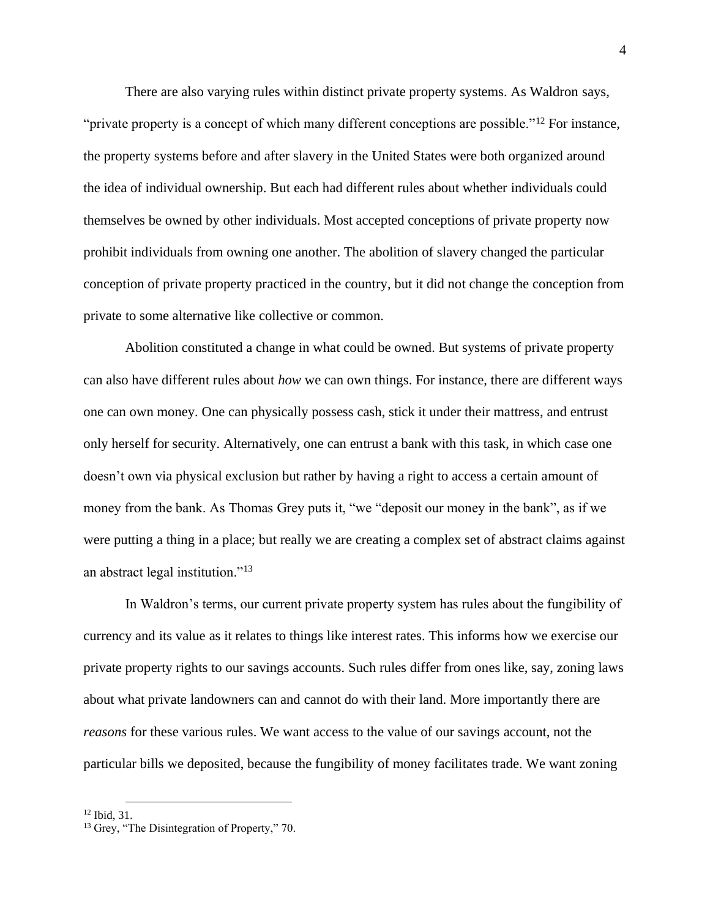There are also varying rules within distinct private property systems. As Waldron says, "private property is a concept of which many different conceptions are possible."<sup>12</sup> For instance, the property systems before and after slavery in the United States were both organized around the idea of individual ownership. But each had different rules about whether individuals could themselves be owned by other individuals. Most accepted conceptions of private property now prohibit individuals from owning one another. The abolition of slavery changed the particular conception of private property practiced in the country, but it did not change the conception from private to some alternative like collective or common.

Abolition constituted a change in what could be owned. But systems of private property can also have different rules about *how* we can own things. For instance, there are different ways one can own money. One can physically possess cash, stick it under their mattress, and entrust only herself for security. Alternatively, one can entrust a bank with this task, in which case one doesn't own via physical exclusion but rather by having a right to access a certain amount of money from the bank. As Thomas Grey puts it, "we "deposit our money in the bank", as if we were putting a thing in a place; but really we are creating a complex set of abstract claims against an abstract legal institution."<sup>13</sup>

In Waldron's terms, our current private property system has rules about the fungibility of currency and its value as it relates to things like interest rates. This informs how we exercise our private property rights to our savings accounts. Such rules differ from ones like, say, zoning laws about what private landowners can and cannot do with their land. More importantly there are *reasons* for these various rules. We want access to the value of our savings account, not the particular bills we deposited, because the fungibility of money facilitates trade. We want zoning

<sup>12</sup> Ibid, 31.

<sup>&</sup>lt;sup>13</sup> Grey, "The Disintegration of Property," 70.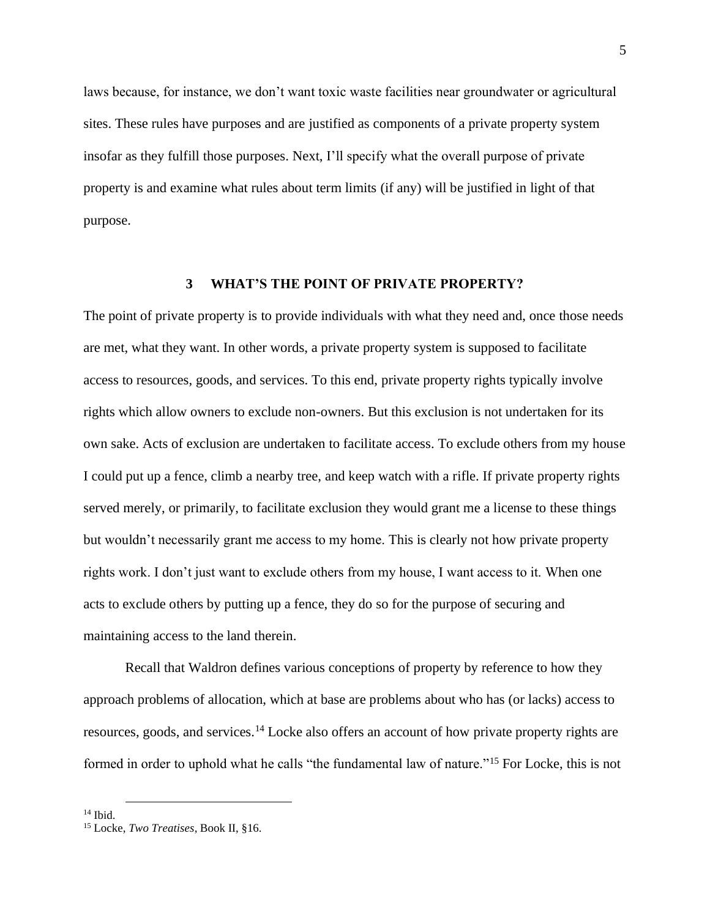laws because, for instance, we don't want toxic waste facilities near groundwater or agricultural sites. These rules have purposes and are justified as components of a private property system insofar as they fulfill those purposes. Next, I'll specify what the overall purpose of private property is and examine what rules about term limits (if any) will be justified in light of that purpose.

# **3 WHAT'S THE POINT OF PRIVATE PROPERTY?**

<span id="page-13-0"></span>The point of private property is to provide individuals with what they need and, once those needs are met, what they want. In other words, a private property system is supposed to facilitate access to resources, goods, and services. To this end, private property rights typically involve rights which allow owners to exclude non-owners. But this exclusion is not undertaken for its own sake. Acts of exclusion are undertaken to facilitate access. To exclude others from my house I could put up a fence, climb a nearby tree, and keep watch with a rifle. If private property rights served merely, or primarily, to facilitate exclusion they would grant me a license to these things but wouldn't necessarily grant me access to my home. This is clearly not how private property rights work. I don't just want to exclude others from my house, I want access to it. When one acts to exclude others by putting up a fence, they do so for the purpose of securing and maintaining access to the land therein.

Recall that Waldron defines various conceptions of property by reference to how they approach problems of allocation, which at base are problems about who has (or lacks) access to resources, goods, and services.<sup>14</sup> Locke also offers an account of how private property rights are formed in order to uphold what he calls "the fundamental law of nature."<sup>15</sup> For Locke, this is not

 $14$  Ibid.

<sup>15</sup> Locke, *Two Treatises*, Book II, §16.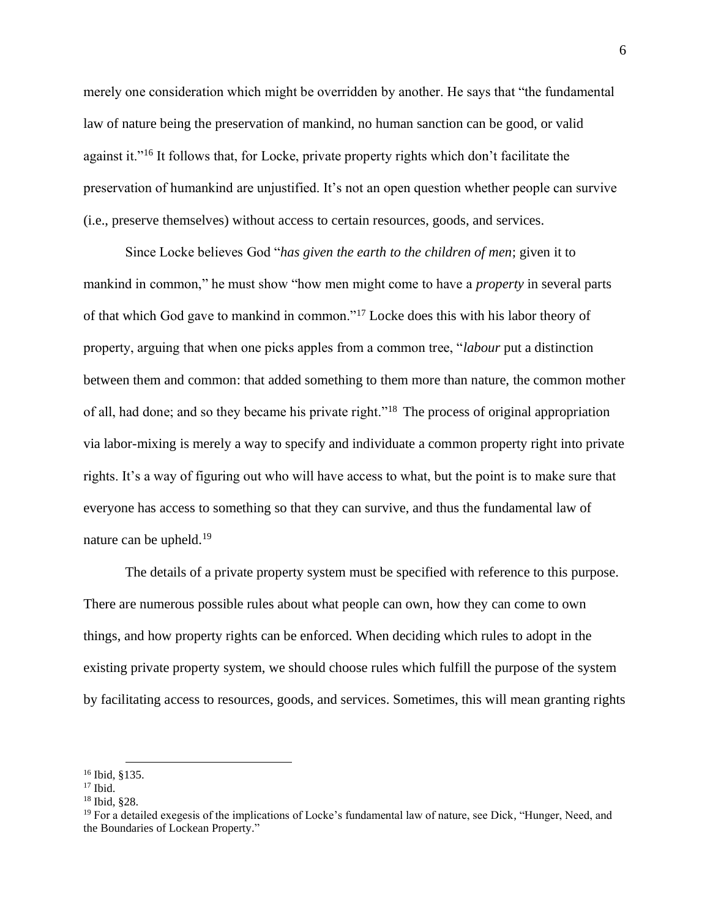merely one consideration which might be overridden by another. He says that "the fundamental law of nature being the preservation of mankind, no human sanction can be good, or valid against it."<sup>16</sup> It follows that, for Locke, private property rights which don't facilitate the preservation of humankind are unjustified. It's not an open question whether people can survive (i.e., preserve themselves) without access to certain resources, goods, and services.

Since Locke believes God "*has given the earth to the children of men*; given it to mankind in common," he must show "how men might come to have a *property* in several parts of that which God gave to mankind in common."<sup>17</sup> Locke does this with his labor theory of property, arguing that when one picks apples from a common tree, "*labour* put a distinction between them and common: that added something to them more than nature, the common mother of all, had done; and so they became his private right."<sup>18</sup> The process of original appropriation via labor-mixing is merely a way to specify and individuate a common property right into private rights. It's a way of figuring out who will have access to what, but the point is to make sure that everyone has access to something so that they can survive, and thus the fundamental law of nature can be upheld.<sup>19</sup>

The details of a private property system must be specified with reference to this purpose. There are numerous possible rules about what people can own, how they can come to own things, and how property rights can be enforced. When deciding which rules to adopt in the existing private property system, we should choose rules which fulfill the purpose of the system by facilitating access to resources, goods, and services. Sometimes, this will mean granting rights

<sup>16</sup> Ibid, §135.

 $17$  Ibid.

<sup>18</sup> Ibid, §28.

 $19$  For a detailed exegesis of the implications of Locke's fundamental law of nature, see Dick, "Hunger, Need, and the Boundaries of Lockean Property."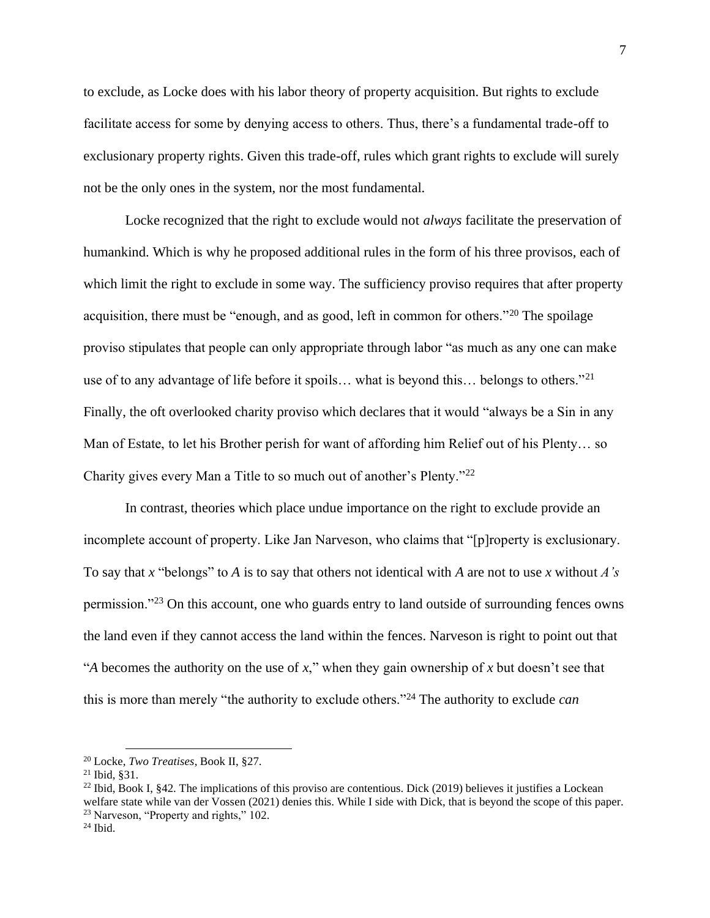to exclude, as Locke does with his labor theory of property acquisition. But rights to exclude facilitate access for some by denying access to others. Thus, there's a fundamental trade-off to exclusionary property rights. Given this trade-off, rules which grant rights to exclude will surely not be the only ones in the system, nor the most fundamental.

Locke recognized that the right to exclude would not *always* facilitate the preservation of humankind. Which is why he proposed additional rules in the form of his three provisos, each of which limit the right to exclude in some way. The sufficiency proviso requires that after property acquisition, there must be "enough, and as good, left in common for others."<sup>20</sup> The spoilage proviso stipulates that people can only appropriate through labor "as much as any one can make use of to any advantage of life before it spoils... what is beyond this... belongs to others."<sup>21</sup> Finally, the oft overlooked charity proviso which declares that it would "always be a Sin in any Man of Estate, to let his Brother perish for want of affording him Relief out of his Plenty… so Charity gives every Man a Title to so much out of another's Plenty."<sup>22</sup>

In contrast, theories which place undue importance on the right to exclude provide an incomplete account of property. Like Jan Narveson, who claims that "[p]roperty is exclusionary. To say that *x* "belongs" to *A* is to say that others not identical with *A* are not to use *x* without *A's* permission."<sup>23</sup> On this account, one who guards entry to land outside of surrounding fences owns the land even if they cannot access the land within the fences. Narveson is right to point out that "*A* becomes the authority on the use of *x*," when they gain ownership of *x* but doesn't see that this is more than merely "the authority to exclude others."<sup>24</sup> The authority to exclude *can*

<sup>20</sup> Locke, *Two Treatises*, Book II, §27.

 $21$  Ibid, \$31.

<sup>&</sup>lt;sup>22</sup> Ibid, Book I, §42. The implications of this proviso are contentious. Dick (2019) believes it justifies a Lockean welfare state while van der Vossen (2021) denies this. While I side with Dick, that is beyond the scope of this paper. <sup>23</sup> Narveson, "Property and rights," 102.

 $24$  Ibid.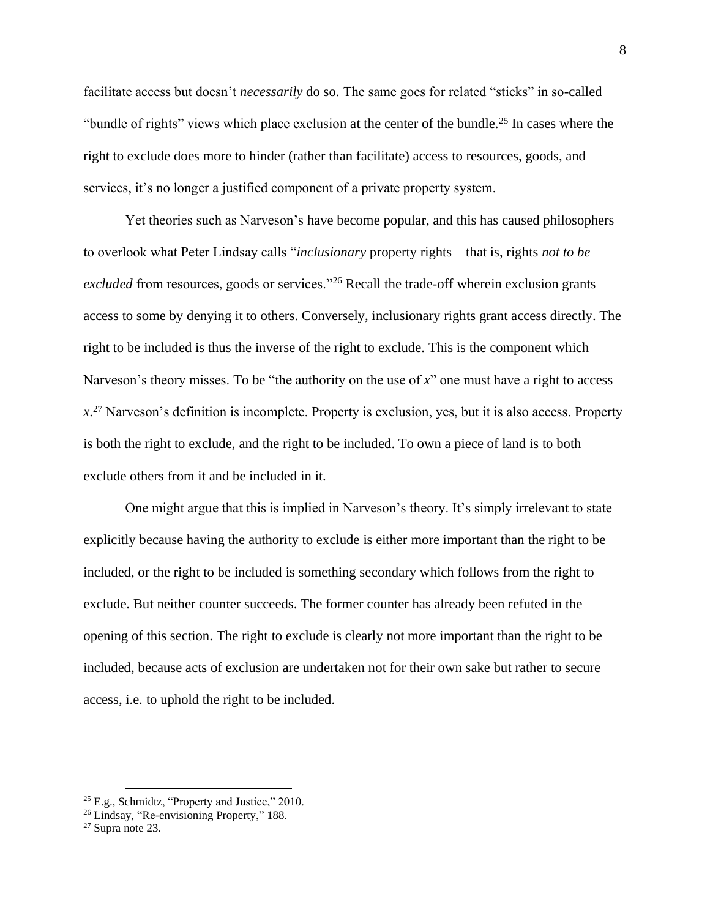facilitate access but doesn't *necessarily* do so. The same goes for related "sticks" in so-called "bundle of rights" views which place exclusion at the center of the bundle.<sup>25</sup> In cases where the right to exclude does more to hinder (rather than facilitate) access to resources, goods, and services, it's no longer a justified component of a private property system.

Yet theories such as Narveson's have become popular, and this has caused philosophers to overlook what Peter Lindsay calls "*inclusionary* property rights – that is, rights *not to be excluded* from resources, goods or services."<sup>26</sup> Recall the trade-off wherein exclusion grants access to some by denying it to others. Conversely, inclusionary rights grant access directly. The right to be included is thus the inverse of the right to exclude. This is the component which Narveson's theory misses. To be "the authority on the use of *x*" one must have a right to access *x*. <sup>27</sup> Narveson's definition is incomplete. Property is exclusion, yes, but it is also access. Property is both the right to exclude, and the right to be included. To own a piece of land is to both exclude others from it and be included in it.

One might argue that this is implied in Narveson's theory. It's simply irrelevant to state explicitly because having the authority to exclude is either more important than the right to be included, or the right to be included is something secondary which follows from the right to exclude. But neither counter succeeds. The former counter has already been refuted in the opening of this section. The right to exclude is clearly not more important than the right to be included, because acts of exclusion are undertaken not for their own sake but rather to secure access, i.e. to uphold the right to be included.

<sup>25</sup> E.g., Schmidtz, "Property and Justice," 2010.

<sup>26</sup> Lindsay, "Re-envisioning Property," 188.

 $27$  Supra note 23.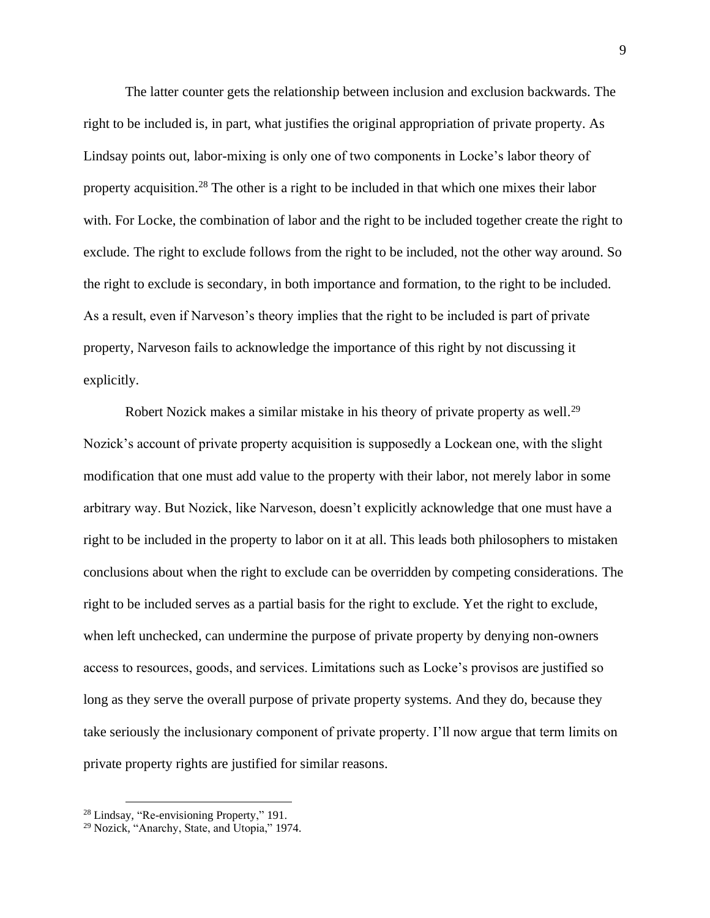The latter counter gets the relationship between inclusion and exclusion backwards. The right to be included is, in part, what justifies the original appropriation of private property. As Lindsay points out, labor-mixing is only one of two components in Locke's labor theory of property acquisition.<sup>28</sup> The other is a right to be included in that which one mixes their labor with. For Locke, the combination of labor and the right to be included together create the right to exclude. The right to exclude follows from the right to be included, not the other way around. So the right to exclude is secondary, in both importance and formation, to the right to be included. As a result, even if Narveson's theory implies that the right to be included is part of private property, Narveson fails to acknowledge the importance of this right by not discussing it explicitly.

Robert Nozick makes a similar mistake in his theory of private property as well.<sup>29</sup> Nozick's account of private property acquisition is supposedly a Lockean one, with the slight modification that one must add value to the property with their labor, not merely labor in some arbitrary way. But Nozick, like Narveson, doesn't explicitly acknowledge that one must have a right to be included in the property to labor on it at all. This leads both philosophers to mistaken conclusions about when the right to exclude can be overridden by competing considerations. The right to be included serves as a partial basis for the right to exclude. Yet the right to exclude, when left unchecked, can undermine the purpose of private property by denying non-owners access to resources, goods, and services. Limitations such as Locke's provisos are justified so long as they serve the overall purpose of private property systems. And they do, because they take seriously the inclusionary component of private property. I'll now argue that term limits on private property rights are justified for similar reasons.

<sup>28</sup> Lindsay, "Re-envisioning Property," 191.

<sup>29</sup> Nozick, "Anarchy, State, and Utopia," 1974.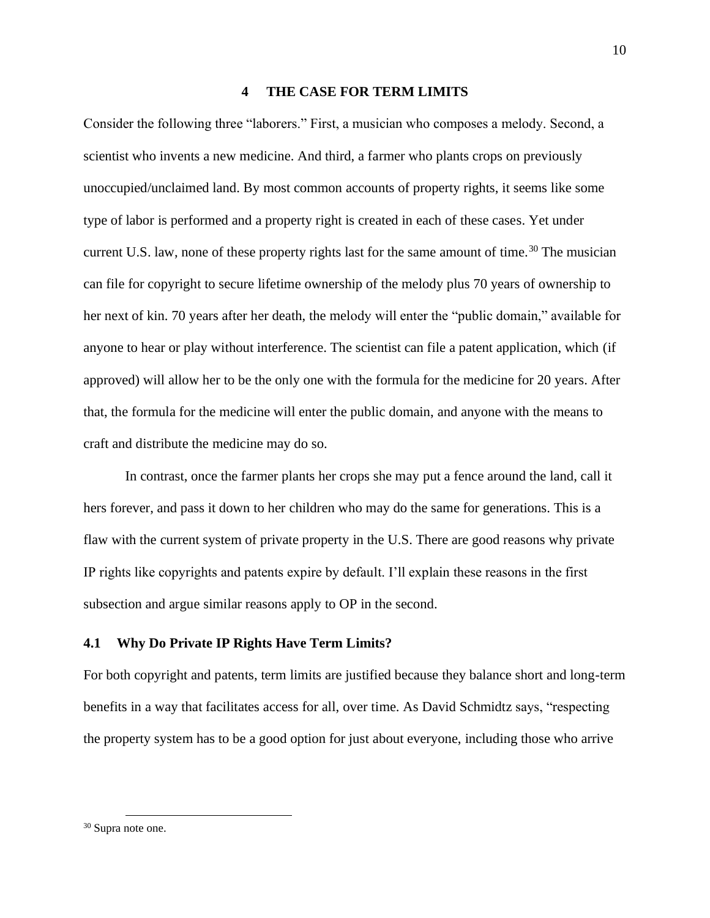### **4 THE CASE FOR TERM LIMITS**

<span id="page-18-0"></span>Consider the following three "laborers." First, a musician who composes a melody. Second, a scientist who invents a new medicine. And third, a farmer who plants crops on previously unoccupied/unclaimed land. By most common accounts of property rights, it seems like some type of labor is performed and a property right is created in each of these cases. Yet under current U.S. law, none of these property rights last for the same amount of time.<sup>30</sup> The musician can file for copyright to secure lifetime ownership of the melody plus 70 years of ownership to her next of kin. 70 years after her death, the melody will enter the "public domain," available for anyone to hear or play without interference. The scientist can file a patent application, which (if approved) will allow her to be the only one with the formula for the medicine for 20 years. After that, the formula for the medicine will enter the public domain, and anyone with the means to craft and distribute the medicine may do so.

In contrast, once the farmer plants her crops she may put a fence around the land, call it hers forever, and pass it down to her children who may do the same for generations. This is a flaw with the current system of private property in the U.S. There are good reasons why private IP rights like copyrights and patents expire by default. I'll explain these reasons in the first subsection and argue similar reasons apply to OP in the second.

# <span id="page-18-1"></span>**4.1 Why Do Private IP Rights Have Term Limits?**

For both copyright and patents, term limits are justified because they balance short and long-term benefits in a way that facilitates access for all, over time. As David Schmidtz says, "respecting the property system has to be a good option for just about everyone, including those who arrive

<sup>10</sup>

<sup>30</sup> Supra note one.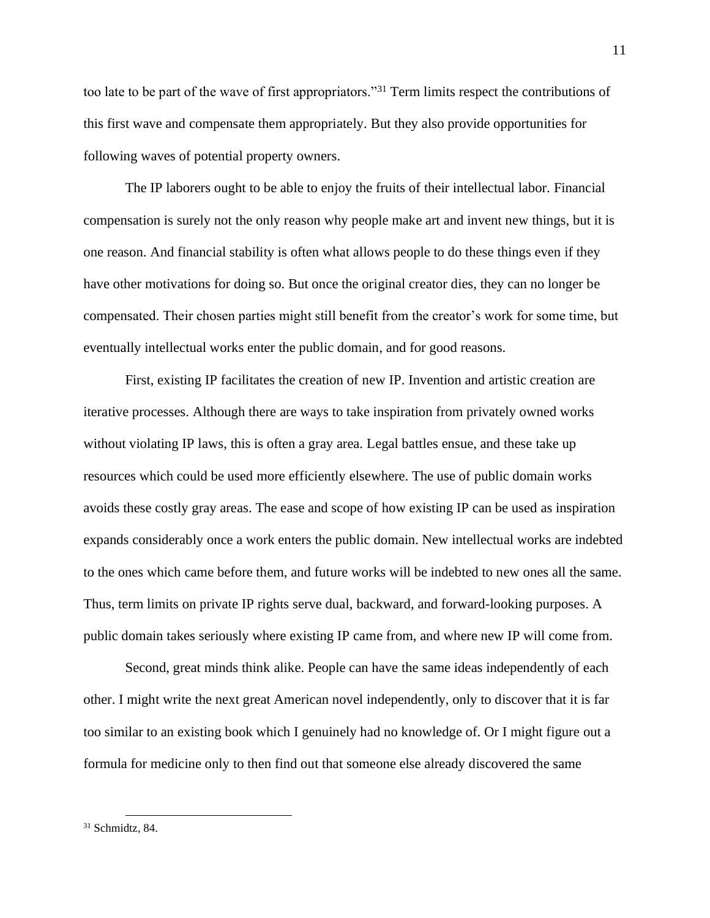too late to be part of the wave of first appropriators."<sup>31</sup> Term limits respect the contributions of this first wave and compensate them appropriately. But they also provide opportunities for following waves of potential property owners.

The IP laborers ought to be able to enjoy the fruits of their intellectual labor. Financial compensation is surely not the only reason why people make art and invent new things, but it is one reason. And financial stability is often what allows people to do these things even if they have other motivations for doing so. But once the original creator dies, they can no longer be compensated. Their chosen parties might still benefit from the creator's work for some time, but eventually intellectual works enter the public domain, and for good reasons.

First, existing IP facilitates the creation of new IP. Invention and artistic creation are iterative processes. Although there are ways to take inspiration from privately owned works without violating IP laws, this is often a gray area. Legal battles ensue, and these take up resources which could be used more efficiently elsewhere. The use of public domain works avoids these costly gray areas. The ease and scope of how existing IP can be used as inspiration expands considerably once a work enters the public domain. New intellectual works are indebted to the ones which came before them, and future works will be indebted to new ones all the same. Thus, term limits on private IP rights serve dual, backward, and forward-looking purposes. A public domain takes seriously where existing IP came from, and where new IP will come from.

Second, great minds think alike. People can have the same ideas independently of each other. I might write the next great American novel independently, only to discover that it is far too similar to an existing book which I genuinely had no knowledge of. Or I might figure out a formula for medicine only to then find out that someone else already discovered the same

 $31$  Schmidtz, 84.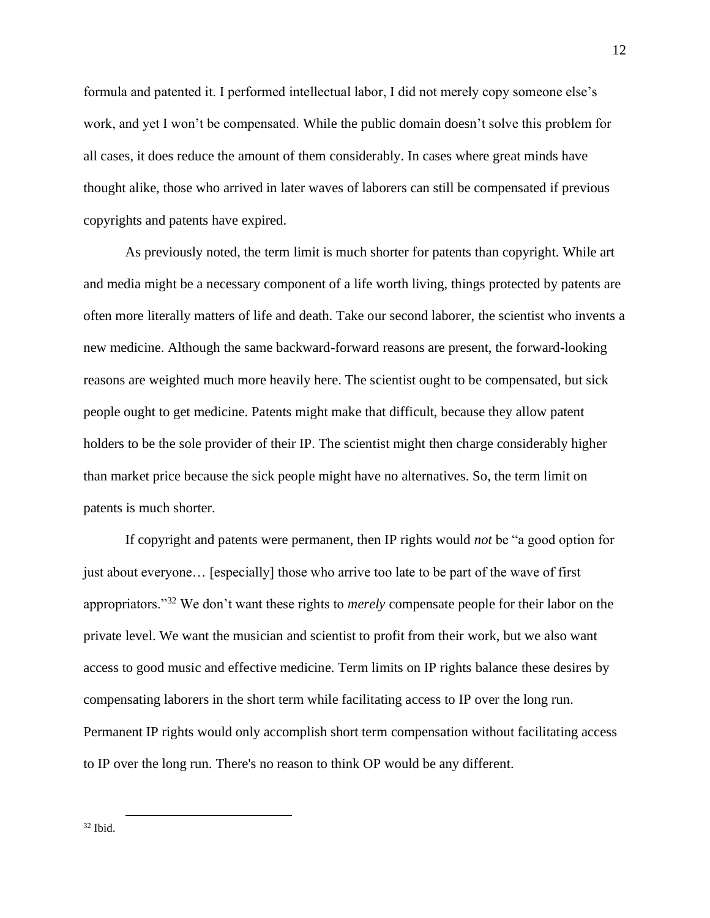formula and patented it. I performed intellectual labor, I did not merely copy someone else's work, and yet I won't be compensated. While the public domain doesn't solve this problem for all cases, it does reduce the amount of them considerably. In cases where great minds have thought alike, those who arrived in later waves of laborers can still be compensated if previous copyrights and patents have expired.

As previously noted, the term limit is much shorter for patents than copyright. While art and media might be a necessary component of a life worth living, things protected by patents are often more literally matters of life and death. Take our second laborer, the scientist who invents a new medicine. Although the same backward-forward reasons are present, the forward-looking reasons are weighted much more heavily here. The scientist ought to be compensated, but sick people ought to get medicine. Patents might make that difficult, because they allow patent holders to be the sole provider of their IP. The scientist might then charge considerably higher than market price because the sick people might have no alternatives. So, the term limit on patents is much shorter.

If copyright and patents were permanent, then IP rights would *not* be "a good option for just about everyone… [especially] those who arrive too late to be part of the wave of first appropriators."<sup>32</sup> We don't want these rights to *merely* compensate people for their labor on the private level. We want the musician and scientist to profit from their work, but we also want access to good music and effective medicine. Term limits on IP rights balance these desires by compensating laborers in the short term while facilitating access to IP over the long run. Permanent IP rights would only accomplish short term compensation without facilitating access to IP over the long run. There's no reason to think OP would be any different.

 $32$  Ibid.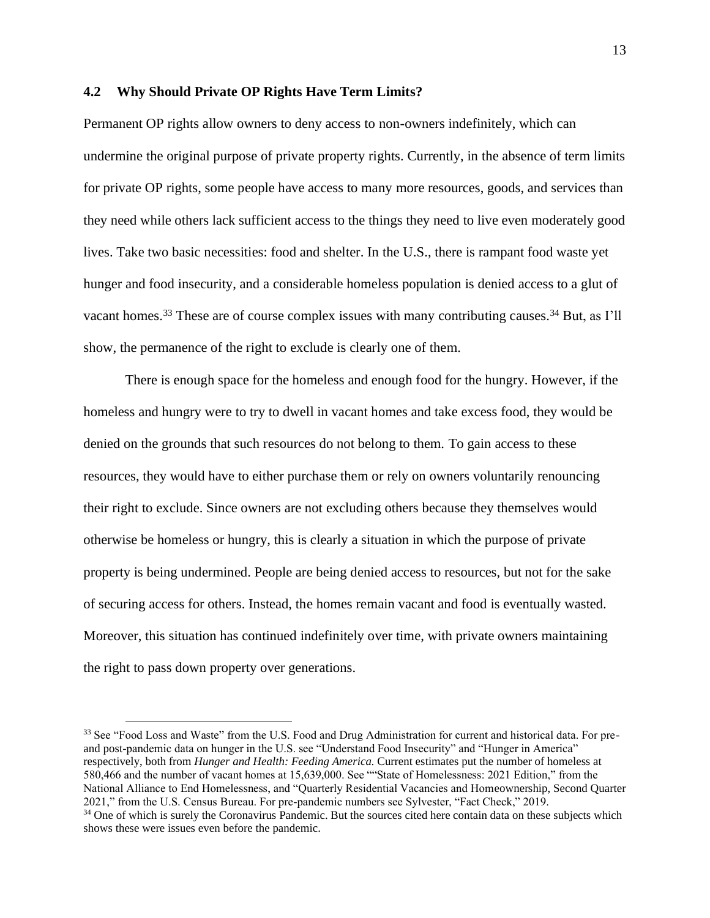# <span id="page-21-0"></span>**4.2 Why Should Private OP Rights Have Term Limits?**

Permanent OP rights allow owners to deny access to non-owners indefinitely, which can undermine the original purpose of private property rights. Currently, in the absence of term limits for private OP rights, some people have access to many more resources, goods, and services than they need while others lack sufficient access to the things they need to live even moderately good lives. Take two basic necessities: food and shelter. In the U.S., there is rampant food waste yet hunger and food insecurity, and a considerable homeless population is denied access to a glut of vacant homes.<sup>33</sup> These are of course complex issues with many contributing causes.<sup>34</sup> But, as I'll show, the permanence of the right to exclude is clearly one of them.

There is enough space for the homeless and enough food for the hungry. However, if the homeless and hungry were to try to dwell in vacant homes and take excess food, they would be denied on the grounds that such resources do not belong to them. To gain access to these resources, they would have to either purchase them or rely on owners voluntarily renouncing their right to exclude. Since owners are not excluding others because they themselves would otherwise be homeless or hungry, this is clearly a situation in which the purpose of private property is being undermined. People are being denied access to resources, but not for the sake of securing access for others. Instead, the homes remain vacant and food is eventually wasted. Moreover, this situation has continued indefinitely over time, with private owners maintaining the right to pass down property over generations.

<sup>&</sup>lt;sup>33</sup> See "Food Loss and Waste" from the U.S. Food and Drug Administration for current and historical data. For preand post-pandemic data on hunger in the U.S. see "Understand Food Insecurity" and "Hunger in America" respectively, both from *Hunger and Health: Feeding America.* Current estimates put the number of homeless at 580,466 and the number of vacant homes at 15,639,000. See ""State of Homelessness: 2021 Edition," from the National Alliance to End Homelessness, and "Quarterly Residential Vacancies and Homeownership, Second Quarter 2021," from the U.S. Census Bureau. For pre-pandemic numbers see Sylvester, "Fact Check," 2019. <sup>34</sup> One of which is surely the Coronavirus Pandemic. But the sources cited here contain data on these subjects which shows these were issues even before the pandemic.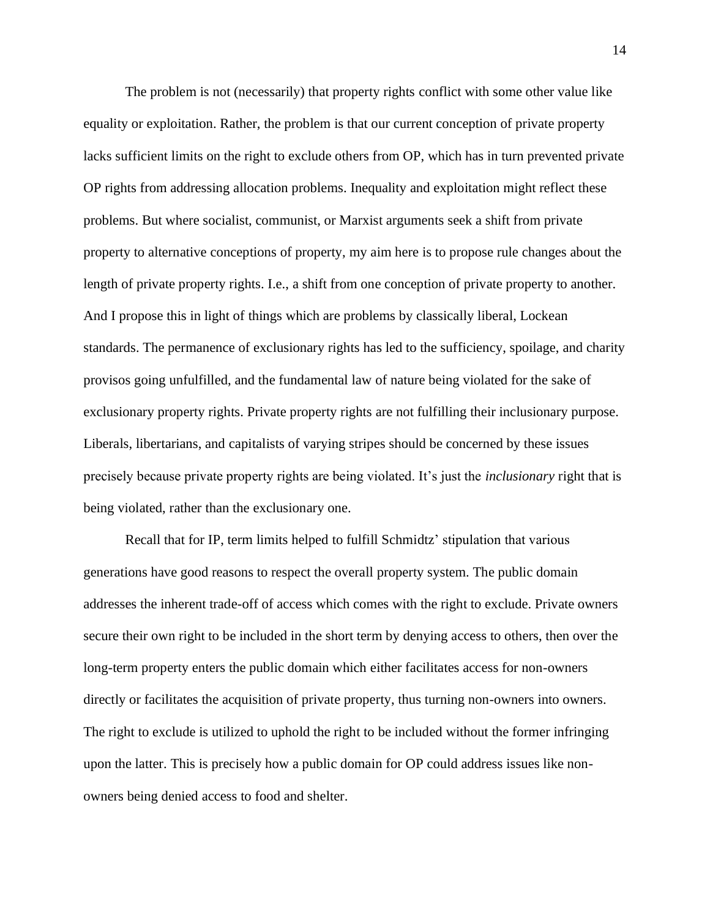The problem is not (necessarily) that property rights conflict with some other value like equality or exploitation. Rather, the problem is that our current conception of private property lacks sufficient limits on the right to exclude others from OP, which has in turn prevented private OP rights from addressing allocation problems. Inequality and exploitation might reflect these problems. But where socialist, communist, or Marxist arguments seek a shift from private property to alternative conceptions of property, my aim here is to propose rule changes about the length of private property rights. I.e., a shift from one conception of private property to another. And I propose this in light of things which are problems by classically liberal, Lockean standards. The permanence of exclusionary rights has led to the sufficiency, spoilage, and charity provisos going unfulfilled, and the fundamental law of nature being violated for the sake of exclusionary property rights. Private property rights are not fulfilling their inclusionary purpose. Liberals, libertarians, and capitalists of varying stripes should be concerned by these issues precisely because private property rights are being violated. It's just the *inclusionary* right that is being violated, rather than the exclusionary one.

Recall that for IP, term limits helped to fulfill Schmidtz' stipulation that various generations have good reasons to respect the overall property system. The public domain addresses the inherent trade-off of access which comes with the right to exclude. Private owners secure their own right to be included in the short term by denying access to others, then over the long-term property enters the public domain which either facilitates access for non-owners directly or facilitates the acquisition of private property, thus turning non-owners into owners. The right to exclude is utilized to uphold the right to be included without the former infringing upon the latter. This is precisely how a public domain for OP could address issues like nonowners being denied access to food and shelter.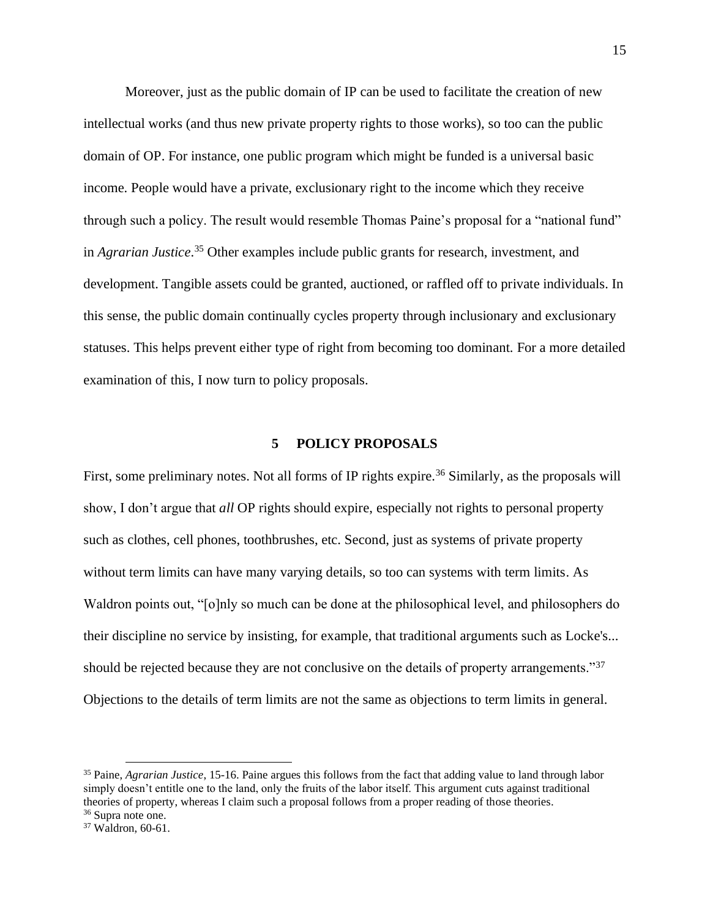Moreover, just as the public domain of IP can be used to facilitate the creation of new intellectual works (and thus new private property rights to those works), so too can the public domain of OP. For instance, one public program which might be funded is a universal basic income. People would have a private, exclusionary right to the income which they receive through such a policy. The result would resemble Thomas Paine's proposal for a "national fund" in *Agrarian Justice*. <sup>35</sup> Other examples include public grants for research, investment, and development. Tangible assets could be granted, auctioned, or raffled off to private individuals. In this sense, the public domain continually cycles property through inclusionary and exclusionary statuses. This helps prevent either type of right from becoming too dominant. For a more detailed examination of this, I now turn to policy proposals.

### **5 POLICY PROPOSALS**

<span id="page-23-0"></span>First, some preliminary notes. Not all forms of IP rights expire.<sup>36</sup> Similarly, as the proposals will show, I don't argue that *all* OP rights should expire, especially not rights to personal property such as clothes, cell phones, toothbrushes, etc. Second, just as systems of private property without term limits can have many varying details, so too can systems with term limits. As Waldron points out, "[o]nly so much can be done at the philosophical level, and philosophers do their discipline no service by insisting, for example, that traditional arguments such as Locke's... should be rejected because they are not conclusive on the details of property arrangements."<sup>37</sup> Objections to the details of term limits are not the same as objections to term limits in general.

<sup>35</sup> Paine, *Agrarian Justice*, 15-16. Paine argues this follows from the fact that adding value to land through labor simply doesn't entitle one to the land, only the fruits of the labor itself. This argument cuts against traditional theories of property, whereas I claim such a proposal follows from a proper reading of those theories. <sup>36</sup> Supra note one.

<sup>&</sup>lt;sup>37</sup> Waldron, 60-61.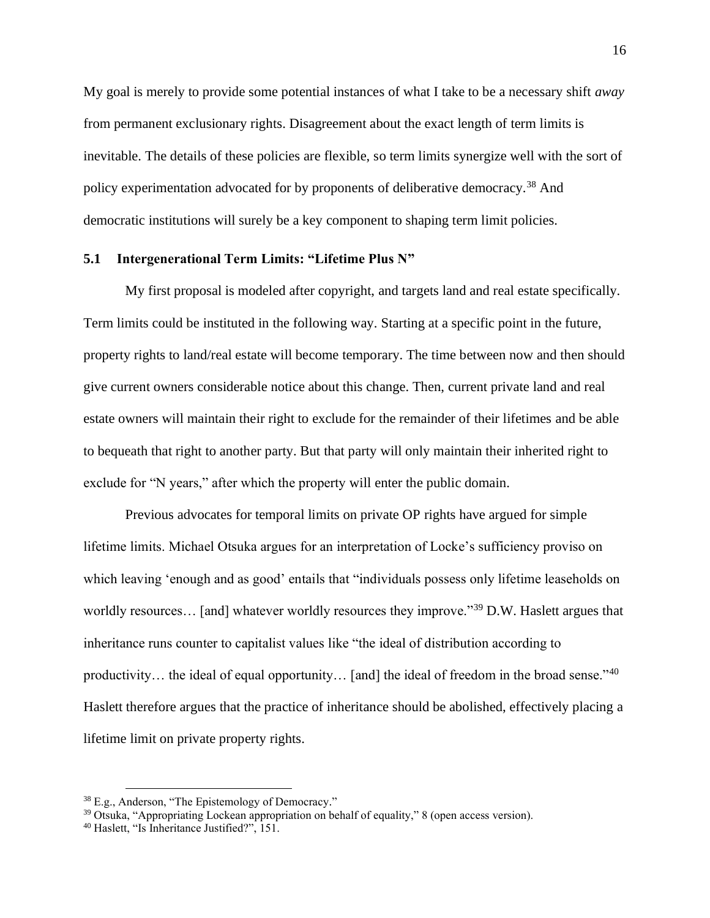My goal is merely to provide some potential instances of what I take to be a necessary shift *away* from permanent exclusionary rights. Disagreement about the exact length of term limits is inevitable. The details of these policies are flexible, so term limits synergize well with the sort of policy experimentation advocated for by proponents of deliberative democracy.<sup>38</sup> And democratic institutions will surely be a key component to shaping term limit policies.

### <span id="page-24-0"></span>**5.1 Intergenerational Term Limits: "Lifetime Plus N"**

My first proposal is modeled after copyright, and targets land and real estate specifically. Term limits could be instituted in the following way. Starting at a specific point in the future, property rights to land/real estate will become temporary. The time between now and then should give current owners considerable notice about this change. Then, current private land and real estate owners will maintain their right to exclude for the remainder of their lifetimes and be able to bequeath that right to another party. But that party will only maintain their inherited right to exclude for "N years," after which the property will enter the public domain.

Previous advocates for temporal limits on private OP rights have argued for simple lifetime limits. Michael Otsuka argues for an interpretation of Locke's sufficiency proviso on which leaving 'enough and as good' entails that "individuals possess only lifetime leaseholds on worldly resources... [and] whatever worldly resources they improve."<sup>39</sup> D.W. Haslett argues that inheritance runs counter to capitalist values like "the ideal of distribution according to productivity... the ideal of equal opportunity... [and] the ideal of freedom in the broad sense."<sup>40</sup> Haslett therefore argues that the practice of inheritance should be abolished, effectively placing a lifetime limit on private property rights.

<sup>38</sup> E.g., Anderson, "The Epistemology of Democracy."

<sup>39</sup> Otsuka, "Appropriating Lockean appropriation on behalf of equality," 8 (open access version).

<sup>40</sup> Haslett, "Is Inheritance Justified?", 151.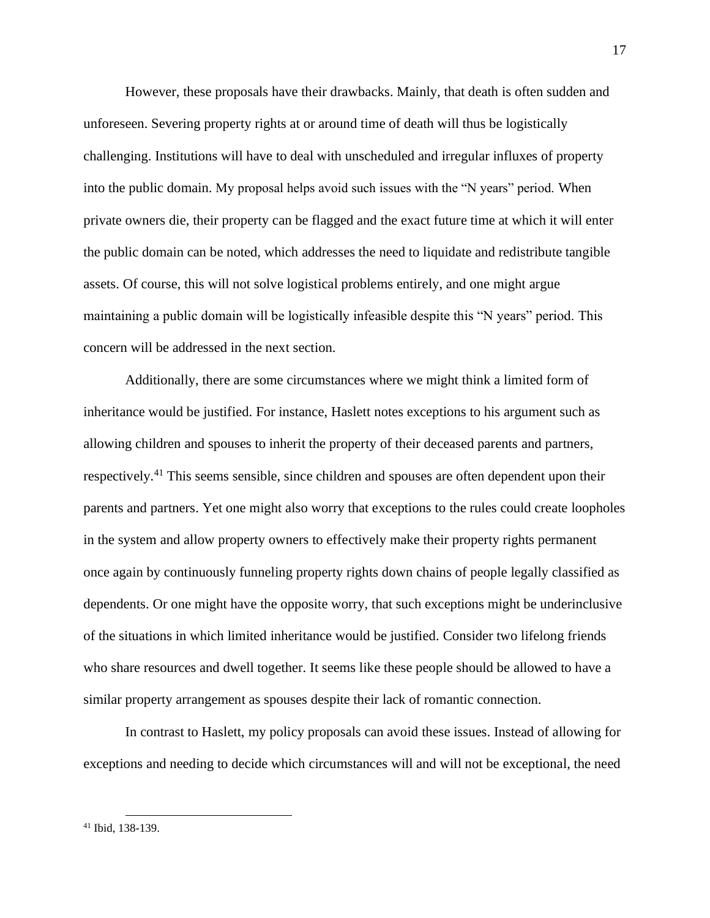However, these proposals have their drawbacks. Mainly, that death is often sudden and unforeseen. Severing property rights at or around time of death will thus be logistically challenging. Institutions will have to deal with unscheduled and irregular influxes of property into the public domain. My proposal helps avoid such issues with the "N years" period. When private owners die, their property can be flagged and the exact future time at which it will enter the public domain can be noted, which addresses the need to liquidate and redistribute tangible assets. Of course, this will not solve logistical problems entirely, and one might argue maintaining a public domain will be logistically infeasible despite this "N years" period. This concern will be addressed in the next section.

Additionally, there are some circumstances where we might think a limited form of inheritance would be justified. For instance, Haslett notes exceptions to his argument such as allowing children and spouses to inherit the property of their deceased parents and partners, respectively.<sup>41</sup> This seems sensible, since children and spouses are often dependent upon their parents and partners. Yet one might also worry that exceptions to the rules could create loopholes in the system and allow property owners to effectively make their property rights permanent once again by continuously funneling property rights down chains of people legally classified as dependents. Or one might have the opposite worry, that such exceptions might be underinclusive of the situations in which limited inheritance would be justified. Consider two lifelong friends who share resources and dwell together. It seems like these people should be allowed to have a similar property arrangement as spouses despite their lack of romantic connection.

In contrast to Haslett, my policy proposals can avoid these issues. Instead of allowing for exceptions and needing to decide which circumstances will and will not be exceptional, the need

<sup>41</sup> Ibid, 138-139.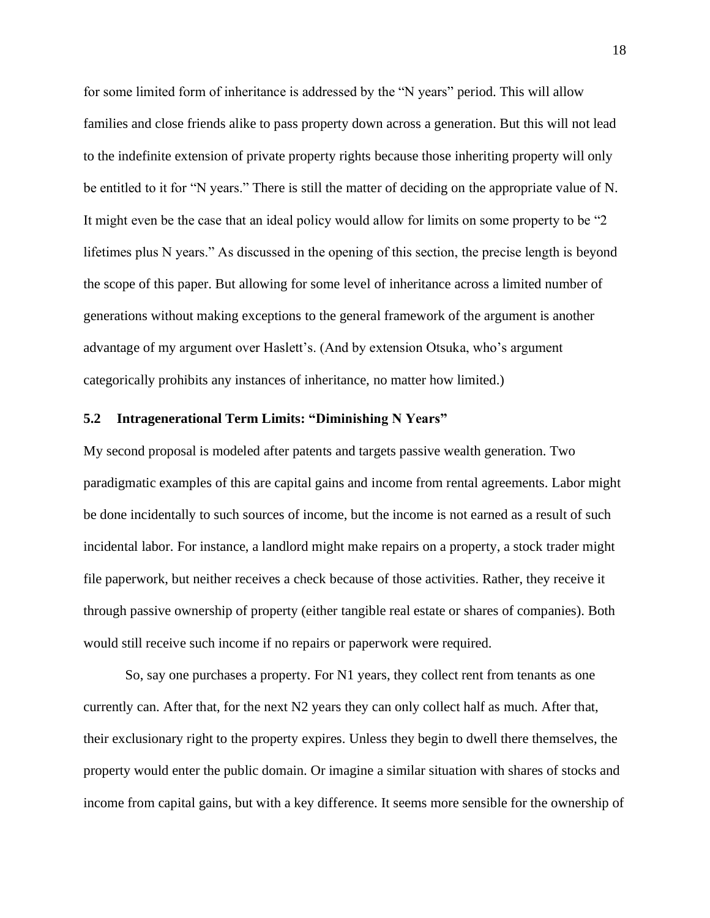for some limited form of inheritance is addressed by the "N years" period. This will allow families and close friends alike to pass property down across a generation. But this will not lead to the indefinite extension of private property rights because those inheriting property will only be entitled to it for "N years." There is still the matter of deciding on the appropriate value of N. It might even be the case that an ideal policy would allow for limits on some property to be "2 lifetimes plus N years." As discussed in the opening of this section, the precise length is beyond the scope of this paper. But allowing for some level of inheritance across a limited number of generations without making exceptions to the general framework of the argument is another advantage of my argument over Haslett's. (And by extension Otsuka, who's argument categorically prohibits any instances of inheritance, no matter how limited.)

#### <span id="page-26-0"></span>**5.2 Intragenerational Term Limits: "Diminishing N Years"**

My second proposal is modeled after patents and targets passive wealth generation. Two paradigmatic examples of this are capital gains and income from rental agreements. Labor might be done incidentally to such sources of income, but the income is not earned as a result of such incidental labor. For instance, a landlord might make repairs on a property, a stock trader might file paperwork, but neither receives a check because of those activities. Rather, they receive it through passive ownership of property (either tangible real estate or shares of companies). Both would still receive such income if no repairs or paperwork were required.

So, say one purchases a property. For N1 years, they collect rent from tenants as one currently can. After that, for the next N2 years they can only collect half as much. After that, their exclusionary right to the property expires. Unless they begin to dwell there themselves, the property would enter the public domain. Or imagine a similar situation with shares of stocks and income from capital gains, but with a key difference. It seems more sensible for the ownership of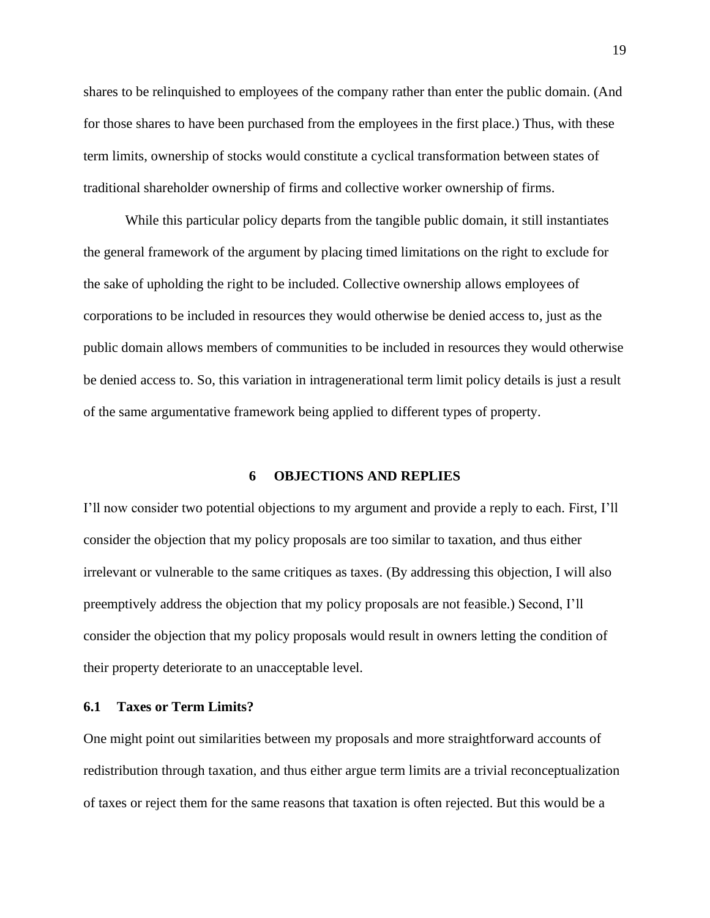shares to be relinquished to employees of the company rather than enter the public domain. (And for those shares to have been purchased from the employees in the first place.) Thus, with these term limits, ownership of stocks would constitute a cyclical transformation between states of traditional shareholder ownership of firms and collective worker ownership of firms.

While this particular policy departs from the tangible public domain, it still instantiates the general framework of the argument by placing timed limitations on the right to exclude for the sake of upholding the right to be included. Collective ownership allows employees of corporations to be included in resources they would otherwise be denied access to, just as the public domain allows members of communities to be included in resources they would otherwise be denied access to. So, this variation in intragenerational term limit policy details is just a result of the same argumentative framework being applied to different types of property.

#### **6 OBJECTIONS AND REPLIES**

<span id="page-27-0"></span>I'll now consider two potential objections to my argument and provide a reply to each. First, I'll consider the objection that my policy proposals are too similar to taxation, and thus either irrelevant or vulnerable to the same critiques as taxes. (By addressing this objection, I will also preemptively address the objection that my policy proposals are not feasible.) Second, I'll consider the objection that my policy proposals would result in owners letting the condition of their property deteriorate to an unacceptable level.

# <span id="page-27-1"></span>**6.1 Taxes or Term Limits?**

One might point out similarities between my proposals and more straightforward accounts of redistribution through taxation, and thus either argue term limits are a trivial reconceptualization of taxes or reject them for the same reasons that taxation is often rejected. But this would be a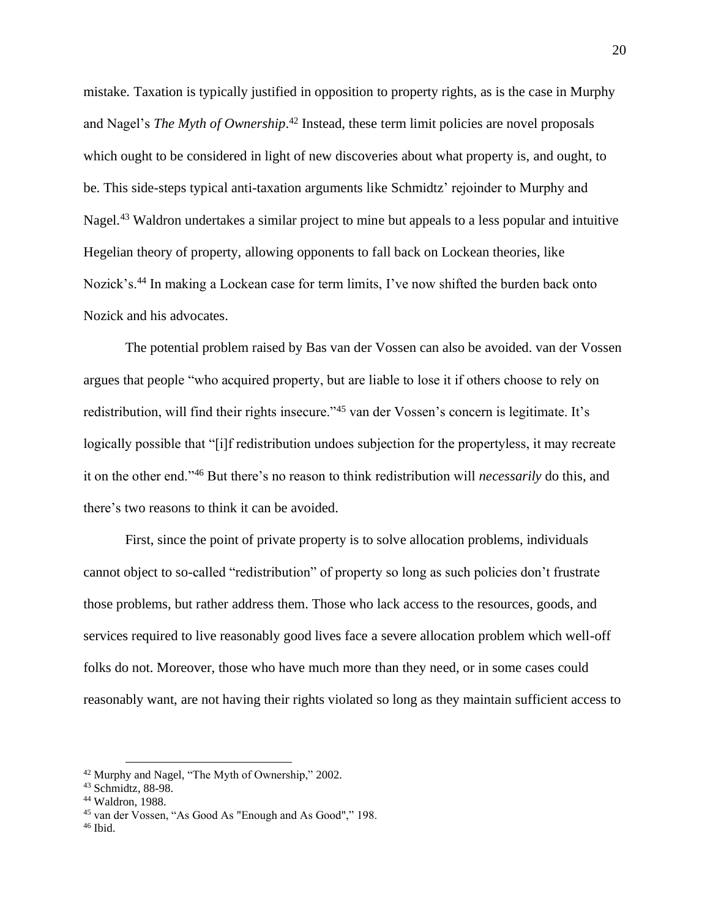mistake. Taxation is typically justified in opposition to property rights, as is the case in Murphy and Nagel's *The Myth of Ownership*. <sup>42</sup> Instead, these term limit policies are novel proposals which ought to be considered in light of new discoveries about what property is, and ought, to be. This side-steps typical anti-taxation arguments like Schmidtz' rejoinder to Murphy and Nagel.<sup>43</sup> Waldron undertakes a similar project to mine but appeals to a less popular and intuitive Hegelian theory of property, allowing opponents to fall back on Lockean theories, like Nozick's.<sup>44</sup> In making a Lockean case for term limits, I've now shifted the burden back onto Nozick and his advocates.

The potential problem raised by Bas van der Vossen can also be avoided. van der Vossen argues that people "who acquired property, but are liable to lose it if others choose to rely on redistribution, will find their rights insecure."<sup>45</sup> van der Vossen's concern is legitimate. It's logically possible that "[i]f redistribution undoes subjection for the propertyless, it may recreate it on the other end."<sup>46</sup> But there's no reason to think redistribution will *necessarily* do this, and there's two reasons to think it can be avoided.

First, since the point of private property is to solve allocation problems, individuals cannot object to so-called "redistribution" of property so long as such policies don't frustrate those problems, but rather address them. Those who lack access to the resources, goods, and services required to live reasonably good lives face a severe allocation problem which well-off folks do not. Moreover, those who have much more than they need, or in some cases could reasonably want, are not having their rights violated so long as they maintain sufficient access to

<sup>42</sup> Murphy and Nagel, "The Myth of Ownership," 2002.

<sup>43</sup> Schmidtz, 88-98.

<sup>44</sup> Waldron, 1988.

<sup>45</sup> van der Vossen, "As Good As "Enough and As Good"," 198.

 $46$  Ibid.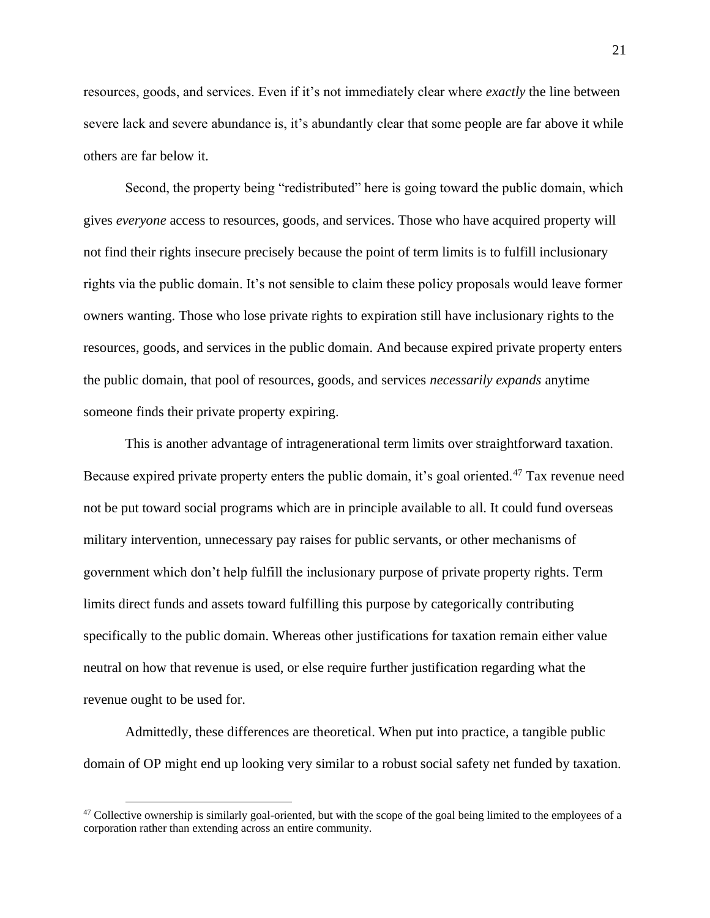resources, goods, and services. Even if it's not immediately clear where *exactly* the line between severe lack and severe abundance is, it's abundantly clear that some people are far above it while others are far below it.

Second, the property being "redistributed" here is going toward the public domain, which gives *everyone* access to resources, goods, and services. Those who have acquired property will not find their rights insecure precisely because the point of term limits is to fulfill inclusionary rights via the public domain. It's not sensible to claim these policy proposals would leave former owners wanting. Those who lose private rights to expiration still have inclusionary rights to the resources, goods, and services in the public domain. And because expired private property enters the public domain, that pool of resources, goods, and services *necessarily expands* anytime someone finds their private property expiring.

This is another advantage of intragenerational term limits over straightforward taxation. Because expired private property enters the public domain, it's goal oriented.<sup>47</sup> Tax revenue need not be put toward social programs which are in principle available to all. It could fund overseas military intervention, unnecessary pay raises for public servants, or other mechanisms of government which don't help fulfill the inclusionary purpose of private property rights. Term limits direct funds and assets toward fulfilling this purpose by categorically contributing specifically to the public domain. Whereas other justifications for taxation remain either value neutral on how that revenue is used, or else require further justification regarding what the revenue ought to be used for.

Admittedly, these differences are theoretical. When put into practice, a tangible public domain of OP might end up looking very similar to a robust social safety net funded by taxation.

 $47$  Collective ownership is similarly goal-oriented, but with the scope of the goal being limited to the employees of a corporation rather than extending across an entire community.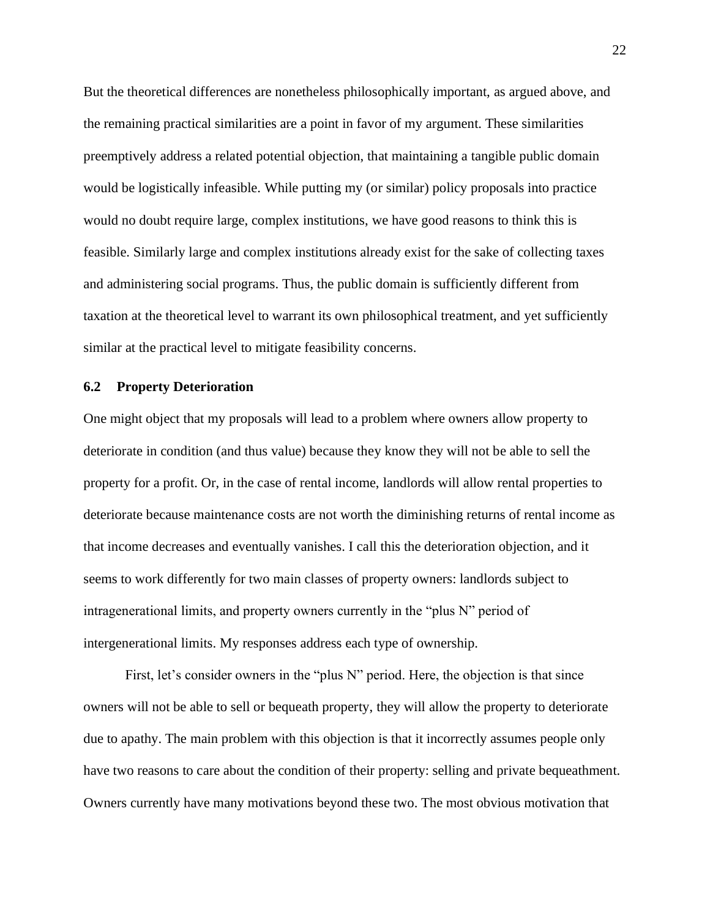But the theoretical differences are nonetheless philosophically important, as argued above, and the remaining practical similarities are a point in favor of my argument. These similarities preemptively address a related potential objection, that maintaining a tangible public domain would be logistically infeasible. While putting my (or similar) policy proposals into practice would no doubt require large, complex institutions, we have good reasons to think this is feasible. Similarly large and complex institutions already exist for the sake of collecting taxes and administering social programs. Thus, the public domain is sufficiently different from taxation at the theoretical level to warrant its own philosophical treatment, and yet sufficiently similar at the practical level to mitigate feasibility concerns.

### <span id="page-30-0"></span>**6.2 Property Deterioration**

One might object that my proposals will lead to a problem where owners allow property to deteriorate in condition (and thus value) because they know they will not be able to sell the property for a profit. Or, in the case of rental income, landlords will allow rental properties to deteriorate because maintenance costs are not worth the diminishing returns of rental income as that income decreases and eventually vanishes. I call this the deterioration objection, and it seems to work differently for two main classes of property owners: landlords subject to intragenerational limits, and property owners currently in the "plus N" period of intergenerational limits. My responses address each type of ownership.

First, let's consider owners in the "plus N" period. Here, the objection is that since owners will not be able to sell or bequeath property, they will allow the property to deteriorate due to apathy. The main problem with this objection is that it incorrectly assumes people only have two reasons to care about the condition of their property: selling and private bequeathment. Owners currently have many motivations beyond these two. The most obvious motivation that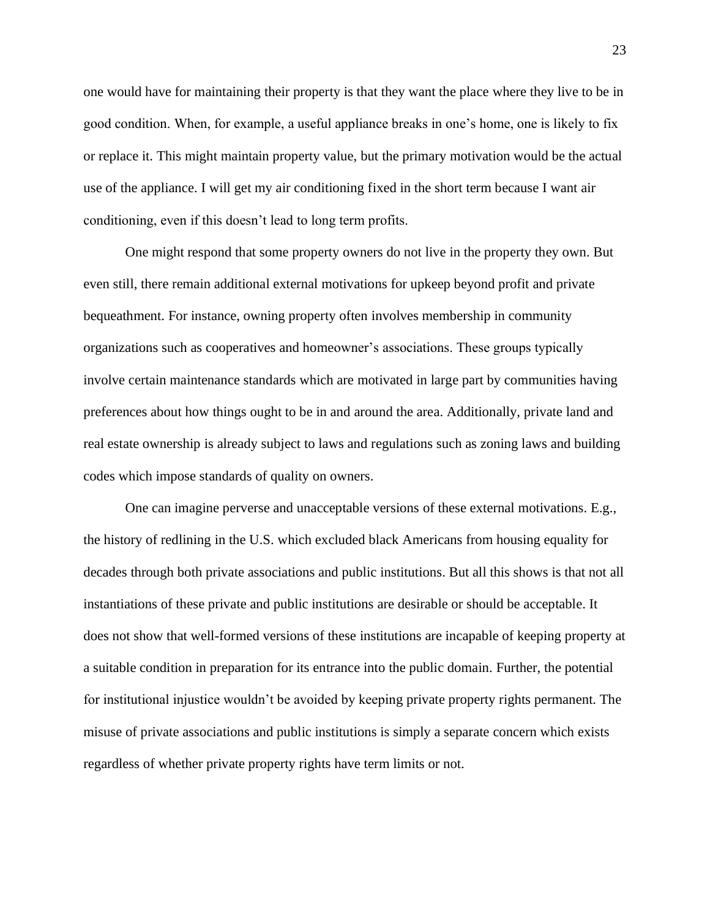one would have for maintaining their property is that they want the place where they live to be in good condition. When, for example, a useful appliance breaks in one's home, one is likely to fix or replace it. This might maintain property value, but the primary motivation would be the actual use of the appliance. I will get my air conditioning fixed in the short term because I want air conditioning, even if this doesn't lead to long term profits.

One might respond that some property owners do not live in the property they own. But even still, there remain additional external motivations for upkeep beyond profit and private bequeathment. For instance, owning property often involves membership in community organizations such as cooperatives and homeowner's associations. These groups typically involve certain maintenance standards which are motivated in large part by communities having preferences about how things ought to be in and around the area. Additionally, private land and real estate ownership is already subject to laws and regulations such as zoning laws and building codes which impose standards of quality on owners.

One can imagine perverse and unacceptable versions of these external motivations. E.g., the history of redlining in the U.S. which excluded black Americans from housing equality for decades through both private associations and public institutions. But all this shows is that not all instantiations of these private and public institutions are desirable or should be acceptable. It does not show that well-formed versions of these institutions are incapable of keeping property at a suitable condition in preparation for its entrance into the public domain. Further, the potential for institutional injustice wouldn't be avoided by keeping private property rights permanent. The misuse of private associations and public institutions is simply a separate concern which exists regardless of whether private property rights have term limits or not.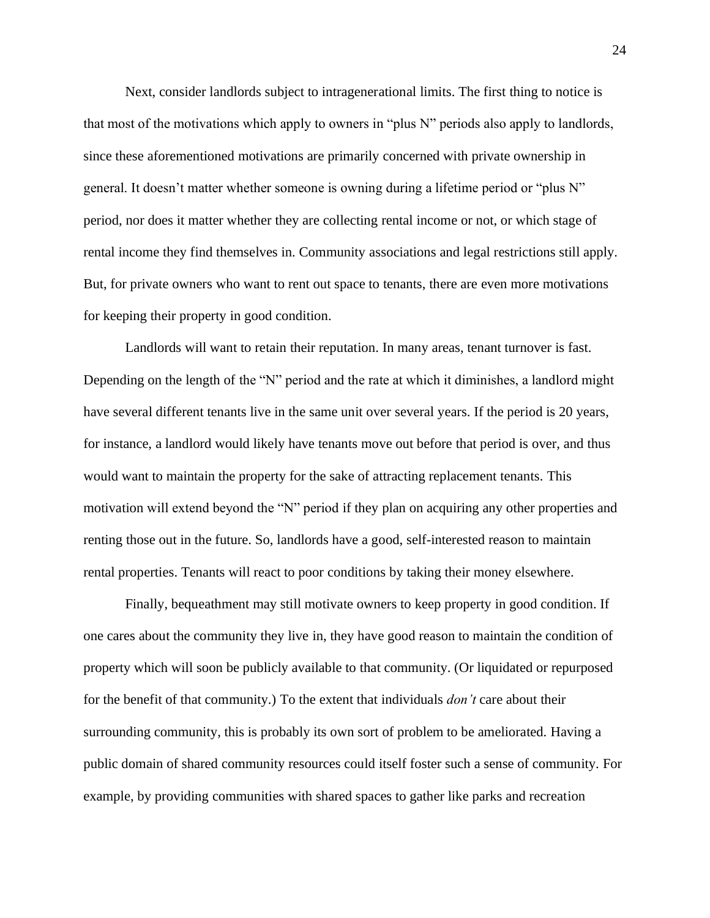Next, consider landlords subject to intragenerational limits. The first thing to notice is that most of the motivations which apply to owners in "plus N" periods also apply to landlords, since these aforementioned motivations are primarily concerned with private ownership in general. It doesn't matter whether someone is owning during a lifetime period or "plus N" period, nor does it matter whether they are collecting rental income or not, or which stage of rental income they find themselves in. Community associations and legal restrictions still apply. But, for private owners who want to rent out space to tenants, there are even more motivations for keeping their property in good condition.

Landlords will want to retain their reputation. In many areas, tenant turnover is fast. Depending on the length of the "N" period and the rate at which it diminishes, a landlord might have several different tenants live in the same unit over several years. If the period is 20 years, for instance, a landlord would likely have tenants move out before that period is over, and thus would want to maintain the property for the sake of attracting replacement tenants. This motivation will extend beyond the "N" period if they plan on acquiring any other properties and renting those out in the future. So, landlords have a good, self-interested reason to maintain rental properties. Tenants will react to poor conditions by taking their money elsewhere.

Finally, bequeathment may still motivate owners to keep property in good condition. If one cares about the community they live in, they have good reason to maintain the condition of property which will soon be publicly available to that community. (Or liquidated or repurposed for the benefit of that community.) To the extent that individuals *don't* care about their surrounding community, this is probably its own sort of problem to be ameliorated. Having a public domain of shared community resources could itself foster such a sense of community. For example, by providing communities with shared spaces to gather like parks and recreation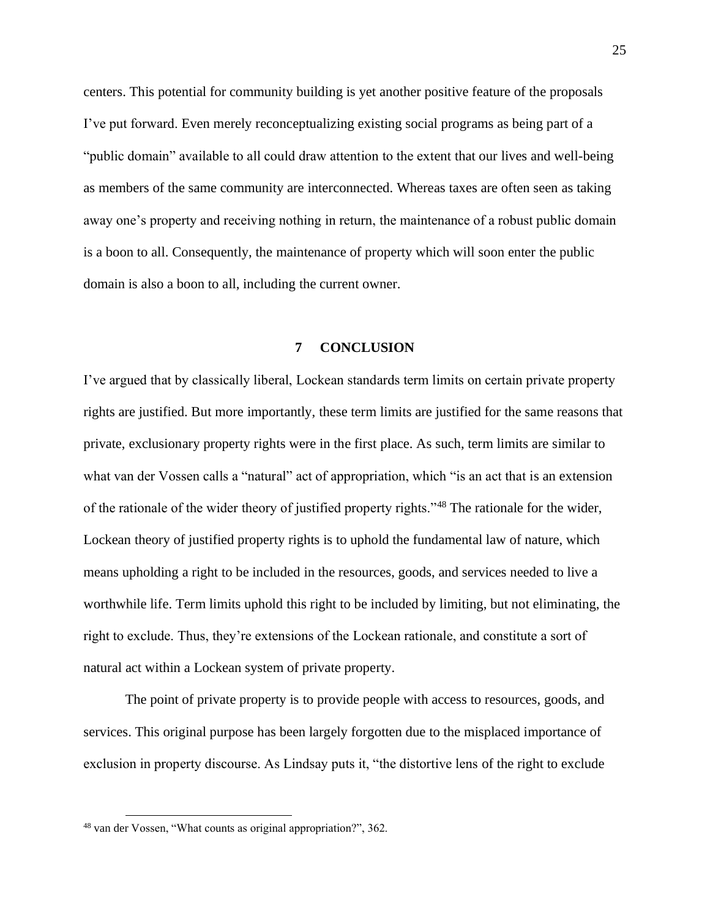centers. This potential for community building is yet another positive feature of the proposals I've put forward. Even merely reconceptualizing existing social programs as being part of a "public domain" available to all could draw attention to the extent that our lives and well-being as members of the same community are interconnected. Whereas taxes are often seen as taking away one's property and receiving nothing in return, the maintenance of a robust public domain is a boon to all. Consequently, the maintenance of property which will soon enter the public domain is also a boon to all, including the current owner.

### **7 CONCLUSION**

<span id="page-33-0"></span>I've argued that by classically liberal, Lockean standards term limits on certain private property rights are justified. But more importantly, these term limits are justified for the same reasons that private, exclusionary property rights were in the first place. As such, term limits are similar to what van der Vossen calls a "natural" act of appropriation, which "is an act that is an extension of the rationale of the wider theory of justified property rights."<sup>48</sup> The rationale for the wider, Lockean theory of justified property rights is to uphold the fundamental law of nature, which means upholding a right to be included in the resources, goods, and services needed to live a worthwhile life. Term limits uphold this right to be included by limiting, but not eliminating, the right to exclude. Thus, they're extensions of the Lockean rationale, and constitute a sort of natural act within a Lockean system of private property.

The point of private property is to provide people with access to resources, goods, and services. This original purpose has been largely forgotten due to the misplaced importance of exclusion in property discourse. As Lindsay puts it, "the distortive lens of the right to exclude

<sup>48</sup> van der Vossen, "What counts as original appropriation?", 362.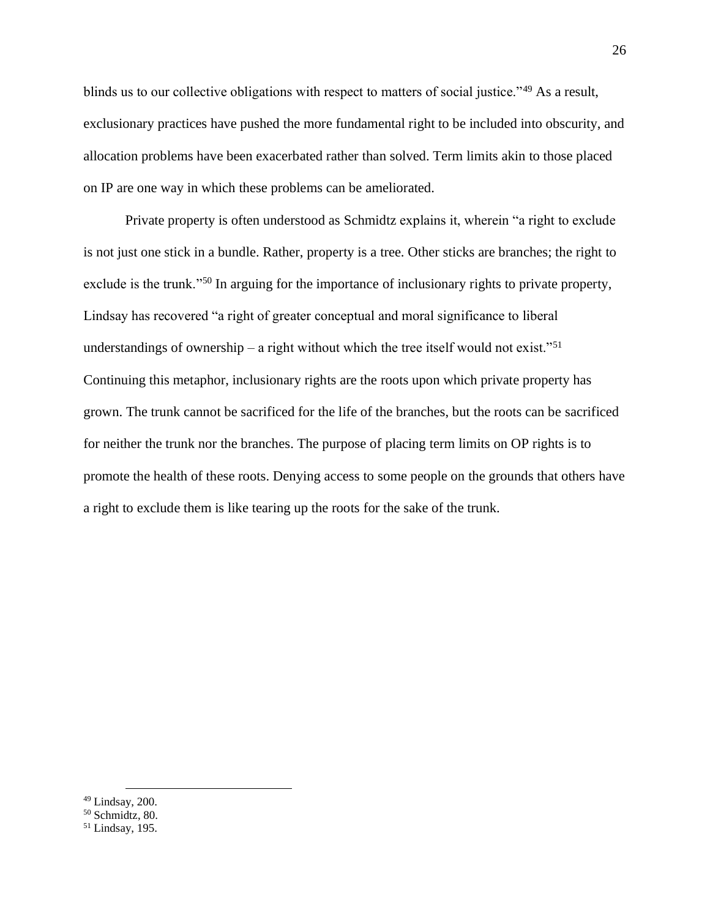blinds us to our collective obligations with respect to matters of social justice."<sup>49</sup> As a result, exclusionary practices have pushed the more fundamental right to be included into obscurity, and allocation problems have been exacerbated rather than solved. Term limits akin to those placed on IP are one way in which these problems can be ameliorated.

Private property is often understood as Schmidtz explains it, wherein "a right to exclude is not just one stick in a bundle. Rather, property is a tree. Other sticks are branches; the right to exclude is the trunk."<sup>50</sup> In arguing for the importance of inclusionary rights to private property, Lindsay has recovered "a right of greater conceptual and moral significance to liberal understandings of ownership – a right without which the tree itself would not exist."<sup>51</sup> Continuing this metaphor, inclusionary rights are the roots upon which private property has grown. The trunk cannot be sacrificed for the life of the branches, but the roots can be sacrificed for neither the trunk nor the branches. The purpose of placing term limits on OP rights is to promote the health of these roots. Denying access to some people on the grounds that others have a right to exclude them is like tearing up the roots for the sake of the trunk.

 $49$  Lindsay, 200.

<sup>50</sup> Schmidtz, 80.

<sup>51</sup> Lindsay, 195.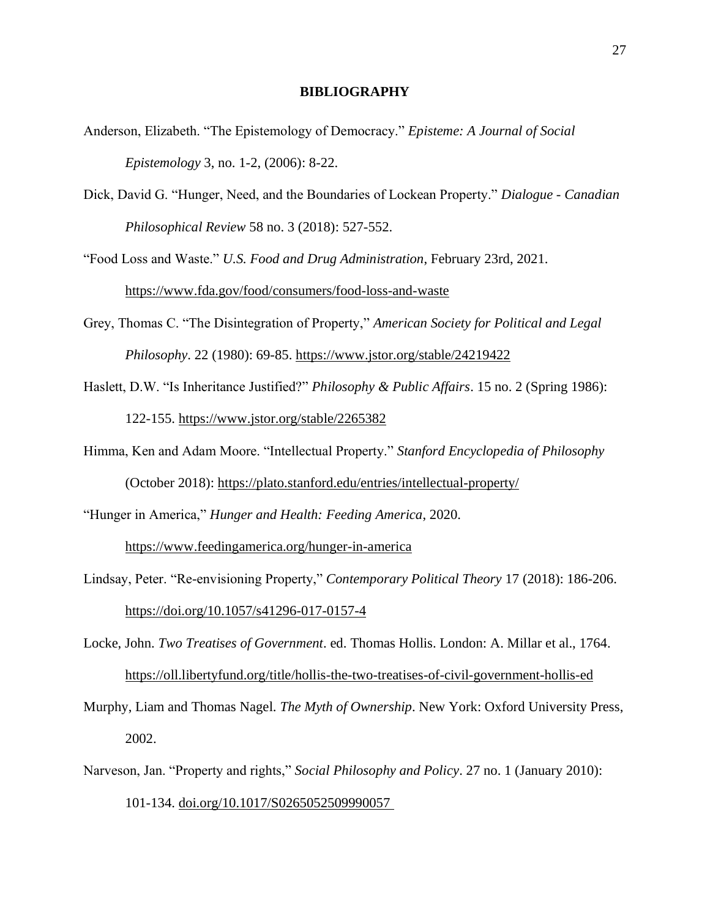#### **BIBLIOGRAPHY**

- <span id="page-35-0"></span>Anderson, Elizabeth. "The Epistemology of Democracy." *Episteme: A Journal of Social Epistemology* 3, no. 1-2, (2006): 8-22.
- Dick, David G. "Hunger, Need, and the Boundaries of Lockean Property." *Dialogue - Canadian Philosophical Review* 58 no. 3 (2018): 527-552.
- "Food Loss and Waste." *U.S. Food and Drug Administration*, February 23rd, 2021. <https://www.fda.gov/food/consumers/food-loss-and-waste>
- Grey, Thomas C. "The Disintegration of Property," *American Society for Political and Legal Philosophy*. 22 (1980): 69-85.<https://www.jstor.org/stable/24219422>
- Haslett, D.W. "Is Inheritance Justified?" *Philosophy & Public Affairs*. 15 no. 2 (Spring 1986): 122-155.<https://www.jstor.org/stable/2265382>
- Himma, Ken and Adam Moore. "Intellectual Property." *Stanford Encyclopedia of Philosophy*

(October 2018):<https://plato.stanford.edu/entries/intellectual-property/>

"Hunger in America," *Hunger and Health: Feeding America*, 2020.

<https://www.feedingamerica.org/hunger-in-america>

Lindsay, Peter. "Re-envisioning Property," *Contemporary Political Theory* 17 (2018): 186-206. <https://doi.org/10.1057/s41296-017-0157-4>

Locke, John. *Two Treatises of Government*. ed. Thomas Hollis. London: A. Millar et al., 1764.

<https://oll.libertyfund.org/title/hollis-the-two-treatises-of-civil-government-hollis-ed>

- Murphy, Liam and Thomas Nagel. *The Myth of Ownership*. New York: Oxford University Press, 2002.
- Narveson, Jan. "Property and rights," *Social Philosophy and Policy*. 27 no. 1 (January 2010): 101-134. [doi.org/10.1017/S0265052509990057](http://doi.org/10.1017/S0265052509990057)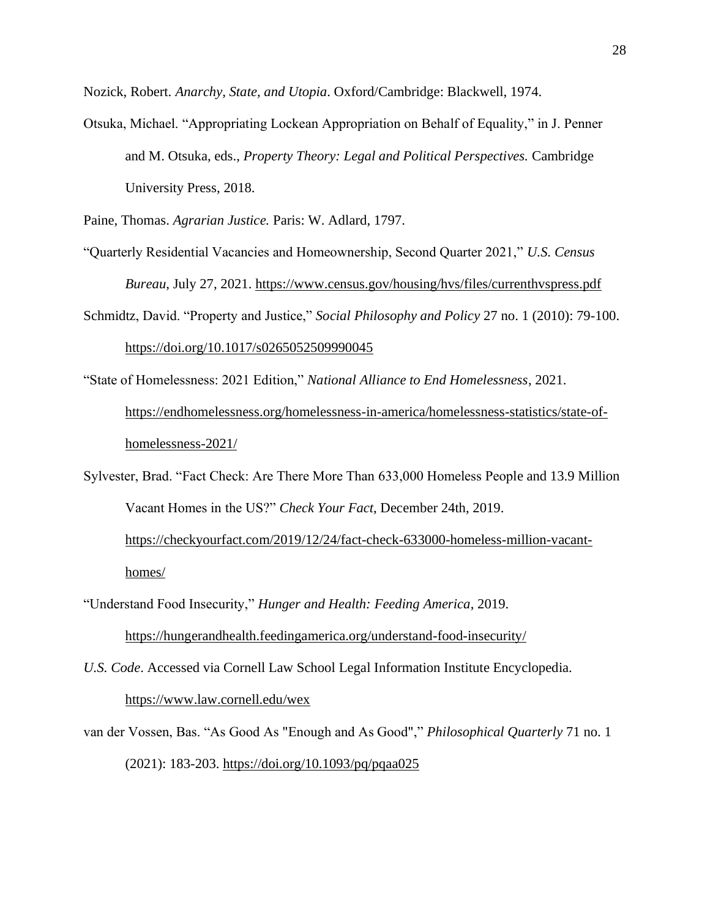Nozick, Robert. *Anarchy, State, and Utopia*. Oxford/Cambridge: Blackwell, 1974.

Otsuka, Michael. "Appropriating Lockean Appropriation on Behalf of Equality," in J. Penner and M. Otsuka, eds., *Property Theory: Legal and Political Perspectives.* Cambridge University Press, 2018.

Paine, Thomas. *Agrarian Justice.* Paris: W. Adlard, 1797.

- "Quarterly Residential Vacancies and Homeownership, Second Quarter 2021," *U.S. Census Bureau*, July 27, 2021.<https://www.census.gov/housing/hvs/files/currenthvspress.pdf>
- Schmidtz, David. "Property and Justice," *Social Philosophy and Policy* 27 no. 1 (2010): 79-100. <https://doi.org/10.1017/s0265052509990045>
- "State of Homelessness: 2021 Edition," *National Alliance to End Homelessness*, 2021. [https://endhomelessness.org/homelessness-in-america/homelessness-statistics/state-of](https://endhomelessness.org/homelessness-in-america/homelessness-statistics/state-of-homelessness-2021/)[homelessness-2021/](https://endhomelessness.org/homelessness-in-america/homelessness-statistics/state-of-homelessness-2021/)
- Sylvester, Brad. "Fact Check: Are There More Than 633,000 Homeless People and 13.9 Million Vacant Homes in the US?" *Check Your Fact*, December 24th, 2019. [https://checkyourfact.com/2019/12/24/fact-check-633000-homeless-million-vacant](https://checkyourfact.com/2019/12/24/fact-check-633000-homeless-million-vacant-homes/)[homes/](https://checkyourfact.com/2019/12/24/fact-check-633000-homeless-million-vacant-homes/)
- "Understand Food Insecurity," *Hunger and Health: Feeding America*, 2019.

<https://hungerandhealth.feedingamerica.org/understand-food-insecurity/>

- *U.S. Code*. Accessed via Cornell Law School Legal Information Institute Encyclopedia. <https://www.law.cornell.edu/wex>
- van der Vossen, Bas. "As Good As "Enough and As Good"," *Philosophical Quarterly* 71 no. 1 (2021): 183-203.<https://doi.org/10.1093/pq/pqaa025>